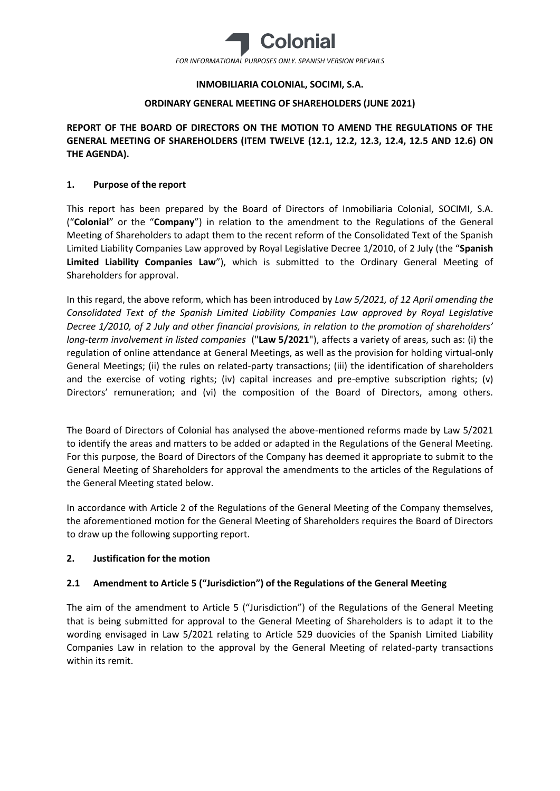

## **INMOBILIARIA COLONIAL, SOCIMI, S.A.**

## **ORDINARY GENERAL MEETING OF SHAREHOLDERS (JUNE 2021)**

**REPORT OF THE BOARD OF DIRECTORS ON THE MOTION TO AMEND THE REGULATIONS OF THE GENERAL MEETING OF SHAREHOLDERS (ITEM TWELVE (12.1, 12.2, 12.3, 12.4, 12.5 AND 12.6) ON THE AGENDA).**

## **1. Purpose of the report**

This report has been prepared by the Board of Directors of Inmobiliaria Colonial, SOCIMI, S.A. ("**Colonial**" or the "**Company**") in relation to the amendment to the Regulations of the General Meeting of Shareholders to adapt them to the recent reform of the Consolidated Text of the Spanish Limited Liability Companies Law approved by Royal Legislative Decree 1/2010, of 2 July (the "**Spanish Limited Liability Companies Law**"), which is submitted to the Ordinary General Meeting of Shareholders for approval.

In this regard, the above reform, which has been introduced by *Law 5/2021, of 12 April amending the Consolidated Text of the Spanish Limited Liability Companies Law approved by Royal Legislative Decree 1/2010, of 2 July and other financial provisions, in relation to the promotion of shareholders' long-term involvement in listed companies* ("**Law 5/2021**"), affects a variety of areas, such as: (i) the regulation of online attendance at General Meetings, as well as the provision for holding virtual-only General Meetings; (ii) the rules on related-party transactions; (iii) the identification of shareholders and the exercise of voting rights; (iv) capital increases and pre-emptive subscription rights; (v) Directors' remuneration; and (vi) the composition of the Board of Directors, among others.

The Board of Directors of Colonial has analysed the above-mentioned reforms made by Law 5/2021 to identify the areas and matters to be added or adapted in the Regulations of the General Meeting. For this purpose, the Board of Directors of the Company has deemed it appropriate to submit to the General Meeting of Shareholders for approval the amendments to the articles of the Regulations of the General Meeting stated below.

In accordance with Article 2 of the Regulations of the General Meeting of the Company themselves, the aforementioned motion for the General Meeting of Shareholders requires the Board of Directors to draw up the following supporting report.

## **2. Justification for the motion**

# **2.1 Amendment to Article 5 ("Jurisdiction") of the Regulations of the General Meeting**

The aim of the amendment to Article 5 ("Jurisdiction") of the Regulations of the General Meeting that is being submitted for approval to the General Meeting of Shareholders is to adapt it to the wording envisaged in Law 5/2021 relating to Article 529 duovicies of the Spanish Limited Liability Companies Law in relation to the approval by the General Meeting of related-party transactions within its remit.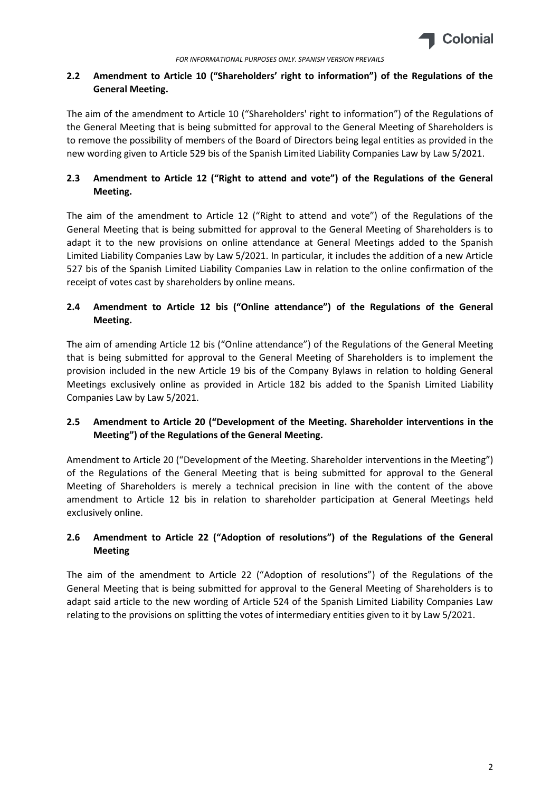

# **2.2 Amendment to Article 10 ("Shareholders' right to information") of the Regulations of the General Meeting.**

The aim of the amendment to Article 10 ("Shareholders' right to information") of the Regulations of the General Meeting that is being submitted for approval to the General Meeting of Shareholders is to remove the possibility of members of the Board of Directors being legal entities as provided in the new wording given to Article 529 bis of the Spanish Limited Liability Companies Law by Law 5/2021.

# **2.3 Amendment to Article 12 ("Right to attend and vote") of the Regulations of the General Meeting.**

The aim of the amendment to Article 12 ("Right to attend and vote") of the Regulations of the General Meeting that is being submitted for approval to the General Meeting of Shareholders is to adapt it to the new provisions on online attendance at General Meetings added to the Spanish Limited Liability Companies Law by Law 5/2021. In particular, it includes the addition of a new Article 527 bis of the Spanish Limited Liability Companies Law in relation to the online confirmation of the receipt of votes cast by shareholders by online means.

# **2.4 Amendment to Article 12 bis ("Online attendance") of the Regulations of the General Meeting.**

The aim of amending Article 12 bis ("Online attendance") of the Regulations of the General Meeting that is being submitted for approval to the General Meeting of Shareholders is to implement the provision included in the new Article 19 bis of the Company Bylaws in relation to holding General Meetings exclusively online as provided in Article 182 bis added to the Spanish Limited Liability Companies Law by Law 5/2021.

# **2.5 Amendment to Article 20 ("Development of the Meeting. Shareholder interventions in the Meeting") of the Regulations of the General Meeting.**

Amendment to Article 20 ("Development of the Meeting. Shareholder interventions in the Meeting") of the Regulations of the General Meeting that is being submitted for approval to the General Meeting of Shareholders is merely a technical precision in line with the content of the above amendment to Article 12 bis in relation to shareholder participation at General Meetings held exclusively online.

# **2.6 Amendment to Article 22 ("Adoption of resolutions") of the Regulations of the General Meeting**

The aim of the amendment to Article 22 ("Adoption of resolutions") of the Regulations of the General Meeting that is being submitted for approval to the General Meeting of Shareholders is to adapt said article to the new wording of Article 524 of the Spanish Limited Liability Companies Law relating to the provisions on splitting the votes of intermediary entities given to it by Law 5/2021.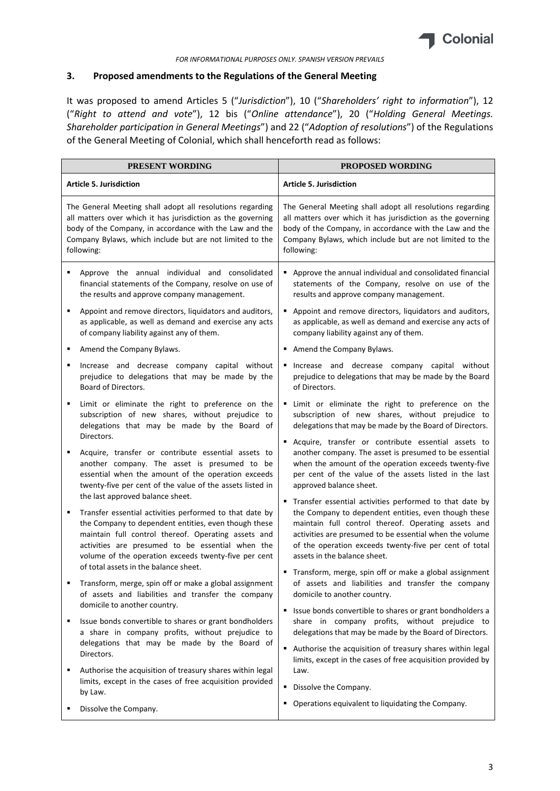

## **3. Proposed amendments to the Regulations of the General Meeting**

It was proposed to amend Articles 5 ("*Jurisdiction*"), 10 ("*Shareholders' right to information*"), 12 ("*Right to attend and vote*"), 12 bis ("*Online attendance*"), 20 ("*Holding General Meetings. Shareholder participation in General Meetings*") and 22 ("*Adoption of resolutions*") of the Regulations of the General Meeting of Colonial, which shall henceforth read as follows:

|   | PRESENT WORDING                                                                                                                                                                                                                                                                                                             | PROPOSED WORDING                                                                                                                                                                                                                                                                                                            |
|---|-----------------------------------------------------------------------------------------------------------------------------------------------------------------------------------------------------------------------------------------------------------------------------------------------------------------------------|-----------------------------------------------------------------------------------------------------------------------------------------------------------------------------------------------------------------------------------------------------------------------------------------------------------------------------|
|   | <b>Article 5. Jurisdiction</b>                                                                                                                                                                                                                                                                                              | <b>Article 5. Jurisdiction</b>                                                                                                                                                                                                                                                                                              |
|   | The General Meeting shall adopt all resolutions regarding<br>all matters over which it has jurisdiction as the governing<br>body of the Company, in accordance with the Law and the<br>Company Bylaws, which include but are not limited to the<br>following:                                                               | The General Meeting shall adopt all resolutions regarding<br>all matters over which it has jurisdiction as the governing<br>body of the Company, in accordance with the Law and the<br>Company Bylaws, which include but are not limited to the<br>following:                                                               |
| ٠ | Approve the annual individual and consolidated<br>financial statements of the Company, resolve on use of<br>the results and approve company management.                                                                                                                                                                     | Approve the annual individual and consolidated financial<br>statements of the Company, resolve on use of the<br>results and approve company management.                                                                                                                                                                     |
| ٠ | Appoint and remove directors, liquidators and auditors,<br>as applicable, as well as demand and exercise any acts<br>of company liability against any of them.                                                                                                                                                              | Appoint and remove directors, liquidators and auditors,<br>٠<br>as applicable, as well as demand and exercise any acts of<br>company liability against any of them.                                                                                                                                                         |
|   | Amend the Company Bylaws.                                                                                                                                                                                                                                                                                                   | Amend the Company Bylaws.                                                                                                                                                                                                                                                                                                   |
| ٠ | Increase and decrease company capital without<br>prejudice to delegations that may be made by the<br>Board of Directors.                                                                                                                                                                                                    | Increase and decrease company capital without<br>٠<br>prejudice to delegations that may be made by the Board<br>of Directors.                                                                                                                                                                                               |
| ٠ | Limit or eliminate the right to preference on the<br>subscription of new shares, without prejudice to<br>delegations that may be made by the Board of                                                                                                                                                                       | Limit or eliminate the right to preference on the<br>٠<br>subscription of new shares, without prejudice to<br>delegations that may be made by the Board of Directors.                                                                                                                                                       |
|   | Directors.<br>Acquire, transfer or contribute essential assets to<br>another company. The asset is presumed to be<br>essential when the amount of the operation exceeds<br>twenty-five per cent of the value of the assets listed in<br>the last approved balance sheet.                                                    | Acquire, transfer or contribute essential assets to<br>٠<br>another company. The asset is presumed to be essential<br>when the amount of the operation exceeds twenty-five<br>per cent of the value of the assets listed in the last<br>approved balance sheet.                                                             |
|   | Transfer essential activities performed to that date by<br>the Company to dependent entities, even though these<br>maintain full control thereof. Operating assets and<br>activities are presumed to be essential when the<br>volume of the operation exceeds twenty-five per cent<br>of total assets in the balance sheet. | Transfer essential activities performed to that date by<br>the Company to dependent entities, even though these<br>maintain full control thereof. Operating assets and<br>activities are presumed to be essential when the volume<br>of the operation exceeds twenty-five per cent of total<br>assets in the balance sheet. |
|   | Transform, merge, spin off or make a global assignment<br>of assets and liabilities and transfer the company<br>domicile to another country.                                                                                                                                                                                | Transform, merge, spin off or make a global assignment<br>of assets and liabilities and transfer the company<br>domicile to another country.                                                                                                                                                                                |
| ٠ | Issue bonds convertible to shares or grant bondholders<br>a share in company profits, without prejudice to<br>delegations that may be made by the Board of<br>Directors.                                                                                                                                                    | Issue bonds convertible to shares or grant bondholders a<br>٠<br>share in company profits, without prejudice to<br>delegations that may be made by the Board of Directors.<br>Authorise the acquisition of treasury shares within legal                                                                                     |
|   | Authorise the acquisition of treasury shares within legal<br>limits, except in the cases of free acquisition provided                                                                                                                                                                                                       | limits, except in the cases of free acquisition provided by<br>Law.<br>Dissolve the Company.<br>٠                                                                                                                                                                                                                           |
|   | by Law.                                                                                                                                                                                                                                                                                                                     | Operations equivalent to liquidating the Company.<br>٠                                                                                                                                                                                                                                                                      |
|   | Dissolve the Company.                                                                                                                                                                                                                                                                                                       |                                                                                                                                                                                                                                                                                                                             |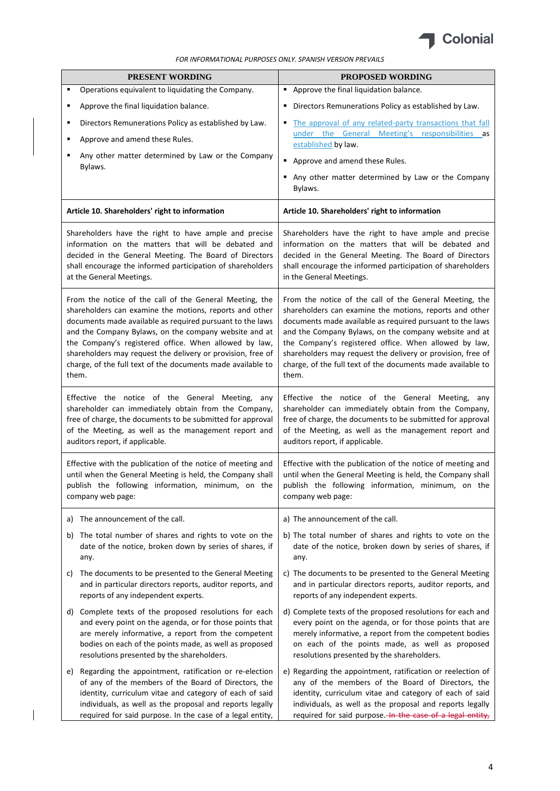

| PRESENT WORDING                                                                                                                                                                                                                                                                                                                                                                                                                          | PROPOSED WORDING                                                                                                                                                                                                                                                                                                                                                                                                                         |
|------------------------------------------------------------------------------------------------------------------------------------------------------------------------------------------------------------------------------------------------------------------------------------------------------------------------------------------------------------------------------------------------------------------------------------------|------------------------------------------------------------------------------------------------------------------------------------------------------------------------------------------------------------------------------------------------------------------------------------------------------------------------------------------------------------------------------------------------------------------------------------------|
| Operations equivalent to liquidating the Company.<br>٠                                                                                                                                                                                                                                                                                                                                                                                   | Approve the final liquidation balance.                                                                                                                                                                                                                                                                                                                                                                                                   |
| Approve the final liquidation balance.<br>٠                                                                                                                                                                                                                                                                                                                                                                                              | " Directors Remunerations Policy as established by Law.                                                                                                                                                                                                                                                                                                                                                                                  |
| Directors Remunerations Policy as established by Law.<br>٠<br>Approve and amend these Rules.<br>٠<br>Any other matter determined by Law or the Company<br>٠<br>Bylaws.                                                                                                                                                                                                                                                                   | The approval of any related-party transactions that fall<br>٠<br>under the General Meeting's responsibilities as<br>established by law.<br>Approve and amend these Rules.                                                                                                                                                                                                                                                                |
|                                                                                                                                                                                                                                                                                                                                                                                                                                          | Any other matter determined by Law or the Company<br>Bylaws.                                                                                                                                                                                                                                                                                                                                                                             |
| Article 10. Shareholders' right to information                                                                                                                                                                                                                                                                                                                                                                                           | Article 10. Shareholders' right to information                                                                                                                                                                                                                                                                                                                                                                                           |
| Shareholders have the right to have ample and precise<br>information on the matters that will be debated and<br>decided in the General Meeting. The Board of Directors<br>shall encourage the informed participation of shareholders<br>at the General Meetings.                                                                                                                                                                         | Shareholders have the right to have ample and precise<br>information on the matters that will be debated and<br>decided in the General Meeting. The Board of Directors<br>shall encourage the informed participation of shareholders<br>in the General Meetings.                                                                                                                                                                         |
| From the notice of the call of the General Meeting, the<br>shareholders can examine the motions, reports and other<br>documents made available as required pursuant to the laws<br>and the Company Bylaws, on the company website and at<br>the Company's registered office. When allowed by law,<br>shareholders may request the delivery or provision, free of<br>charge, of the full text of the documents made available to<br>them. | From the notice of the call of the General Meeting, the<br>shareholders can examine the motions, reports and other<br>documents made available as required pursuant to the laws<br>and the Company Bylaws, on the company website and at<br>the Company's registered office. When allowed by law,<br>shareholders may request the delivery or provision, free of<br>charge, of the full text of the documents made available to<br>them. |
| Effective the notice of the General Meeting,<br>any<br>shareholder can immediately obtain from the Company,<br>free of charge, the documents to be submitted for approval<br>of the Meeting, as well as the management report and<br>auditors report, if applicable.                                                                                                                                                                     | Effective the notice of the General Meeting, any<br>shareholder can immediately obtain from the Company,<br>free of charge, the documents to be submitted for approval<br>of the Meeting, as well as the management report and<br>auditors report, if applicable.                                                                                                                                                                        |
| Effective with the publication of the notice of meeting and<br>until when the General Meeting is held, the Company shall<br>publish the following information, minimum, on the<br>company web page:                                                                                                                                                                                                                                      | Effective with the publication of the notice of meeting and<br>until when the General Meeting is held, the Company shall<br>publish the following information, minimum, on the<br>company web page:                                                                                                                                                                                                                                      |
| The announcement of the call.<br>a)                                                                                                                                                                                                                                                                                                                                                                                                      | a) The announcement of the call.                                                                                                                                                                                                                                                                                                                                                                                                         |
| The total number of shares and rights to vote on the<br>b)<br>date of the notice, broken down by series of shares, if<br>any.                                                                                                                                                                                                                                                                                                            | b) The total number of shares and rights to vote on the<br>date of the notice, broken down by series of shares, if<br>any.                                                                                                                                                                                                                                                                                                               |
| The documents to be presented to the General Meeting<br>C)<br>and in particular directors reports, auditor reports, and<br>reports of any independent experts.                                                                                                                                                                                                                                                                           | c) The documents to be presented to the General Meeting<br>and in particular directors reports, auditor reports, and<br>reports of any independent experts.                                                                                                                                                                                                                                                                              |
| Complete texts of the proposed resolutions for each<br>d)<br>and every point on the agenda, or for those points that<br>are merely informative, a report from the competent<br>bodies on each of the points made, as well as proposed<br>resolutions presented by the shareholders.                                                                                                                                                      | d) Complete texts of the proposed resolutions for each and<br>every point on the agenda, or for those points that are<br>merely informative, a report from the competent bodies<br>on each of the points made, as well as proposed<br>resolutions presented by the shareholders.                                                                                                                                                         |
| e) Regarding the appointment, ratification or re-election<br>of any of the members of the Board of Directors, the<br>identity, curriculum vitae and category of each of said<br>individuals, as well as the proposal and reports legally<br>required for said purpose. In the case of a legal entity,                                                                                                                                    | e) Regarding the appointment, ratification or reelection of<br>any of the members of the Board of Directors, the<br>identity, curriculum vitae and category of each of said<br>individuals, as well as the proposal and reports legally<br>required for said purpose. In the case of a legal entity,                                                                                                                                     |

 $\overline{\mathbf{I}}$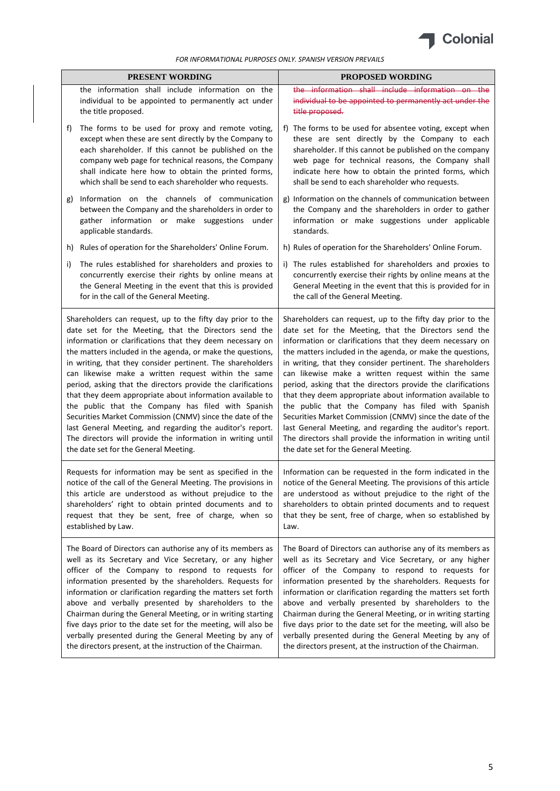

|    | <b>PRESENT WORDING</b>                                                                                                                                                                                                                                                                                                                                                                                                                                                                                                                                                                                                                                                                                                                                                                   | PROPOSED WORDING                                                                                                                                                                                                                                                                                                                                                                                                                                                                                                                                                                                                                                                                                                                                                                          |
|----|------------------------------------------------------------------------------------------------------------------------------------------------------------------------------------------------------------------------------------------------------------------------------------------------------------------------------------------------------------------------------------------------------------------------------------------------------------------------------------------------------------------------------------------------------------------------------------------------------------------------------------------------------------------------------------------------------------------------------------------------------------------------------------------|-------------------------------------------------------------------------------------------------------------------------------------------------------------------------------------------------------------------------------------------------------------------------------------------------------------------------------------------------------------------------------------------------------------------------------------------------------------------------------------------------------------------------------------------------------------------------------------------------------------------------------------------------------------------------------------------------------------------------------------------------------------------------------------------|
|    | the information shall include information on the<br>individual to be appointed to permanently act under<br>the title proposed.                                                                                                                                                                                                                                                                                                                                                                                                                                                                                                                                                                                                                                                           | the information shall include information on the<br>individual to be appointed to permanently act under the<br>title proposed.                                                                                                                                                                                                                                                                                                                                                                                                                                                                                                                                                                                                                                                            |
| f) | The forms to be used for proxy and remote voting,<br>except when these are sent directly by the Company to<br>each shareholder. If this cannot be published on the<br>company web page for technical reasons, the Company<br>shall indicate here how to obtain the printed forms,<br>which shall be send to each shareholder who requests.                                                                                                                                                                                                                                                                                                                                                                                                                                               | f) The forms to be used for absentee voting, except when<br>these are sent directly by the Company to each<br>shareholder. If this cannot be published on the company<br>web page for technical reasons, the Company shall<br>indicate here how to obtain the printed forms, which<br>shall be send to each shareholder who requests.                                                                                                                                                                                                                                                                                                                                                                                                                                                     |
| g) | Information on the channels of communication<br>between the Company and the shareholders in order to<br>gather information or make suggestions under<br>applicable standards.                                                                                                                                                                                                                                                                                                                                                                                                                                                                                                                                                                                                            | g) Information on the channels of communication between<br>the Company and the shareholders in order to gather<br>information or make suggestions under applicable<br>standards.                                                                                                                                                                                                                                                                                                                                                                                                                                                                                                                                                                                                          |
|    | Rules of operation for the Shareholders' Online Forum.<br>h)                                                                                                                                                                                                                                                                                                                                                                                                                                                                                                                                                                                                                                                                                                                             | h) Rules of operation for the Shareholders' Online Forum.                                                                                                                                                                                                                                                                                                                                                                                                                                                                                                                                                                                                                                                                                                                                 |
| i) | The rules established for shareholders and proxies to<br>concurrently exercise their rights by online means at<br>the General Meeting in the event that this is provided<br>for in the call of the General Meeting.                                                                                                                                                                                                                                                                                                                                                                                                                                                                                                                                                                      | i) The rules established for shareholders and proxies to<br>concurrently exercise their rights by online means at the<br>General Meeting in the event that this is provided for in<br>the call of the General Meeting.                                                                                                                                                                                                                                                                                                                                                                                                                                                                                                                                                                    |
|    | Shareholders can request, up to the fifty day prior to the<br>date set for the Meeting, that the Directors send the<br>information or clarifications that they deem necessary on<br>the matters included in the agenda, or make the questions,<br>in writing, that they consider pertinent. The shareholders<br>can likewise make a written request within the same<br>period, asking that the directors provide the clarifications<br>that they deem appropriate about information available to<br>the public that the Company has filed with Spanish<br>Securities Market Commission (CNMV) since the date of the<br>last General Meeting, and regarding the auditor's report.<br>The directors will provide the information in writing until<br>the date set for the General Meeting. | Shareholders can request, up to the fifty day prior to the<br>date set for the Meeting, that the Directors send the<br>information or clarifications that they deem necessary on<br>the matters included in the agenda, or make the questions,<br>in writing, that they consider pertinent. The shareholders<br>can likewise make a written request within the same<br>period, asking that the directors provide the clarifications<br>that they deem appropriate about information available to<br>the public that the Company has filed with Spanish<br>Securities Market Commission (CNMV) since the date of the<br>last General Meeting, and regarding the auditor's report.<br>The directors shall provide the information in writing until<br>the date set for the General Meeting. |
|    | Requests for information may be sent as specified in the<br>notice of the call of the General Meeting. The provisions in<br>this article are understood as without prejudice to the<br>shareholders' right to obtain printed documents and to<br>request that they be sent, free of charge, when so<br>established by Law.                                                                                                                                                                                                                                                                                                                                                                                                                                                               | Information can be requested in the form indicated in the<br>notice of the General Meeting. The provisions of this article<br>are understood as without prejudice to the right of the<br>shareholders to obtain printed documents and to request<br>that they be sent, free of charge, when so established by<br>Law.                                                                                                                                                                                                                                                                                                                                                                                                                                                                     |
|    | The Board of Directors can authorise any of its members as<br>well as its Secretary and Vice Secretary, or any higher<br>officer of the Company to respond to requests for<br>information presented by the shareholders. Requests for<br>information or clarification regarding the matters set forth<br>above and verbally presented by shareholders to the<br>Chairman during the General Meeting, or in writing starting<br>five days prior to the date set for the meeting, will also be<br>verbally presented during the General Meeting by any of<br>the directors present, at the instruction of the Chairman.                                                                                                                                                                    | The Board of Directors can authorise any of its members as<br>well as its Secretary and Vice Secretary, or any higher<br>officer of the Company to respond to requests for<br>information presented by the shareholders. Requests for<br>information or clarification regarding the matters set forth<br>above and verbally presented by shareholders to the<br>Chairman during the General Meeting, or in writing starting<br>five days prior to the date set for the meeting, will also be<br>verbally presented during the General Meeting by any of<br>the directors present, at the instruction of the Chairman.                                                                                                                                                                     |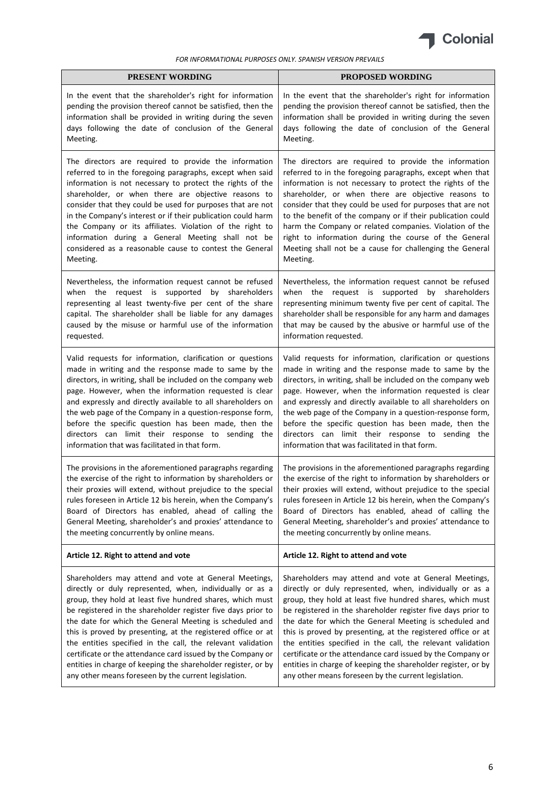

| <b>PRESENT WORDING</b>                                        | <b>PROPOSED WORDING</b>                                       |
|---------------------------------------------------------------|---------------------------------------------------------------|
| In the event that the shareholder's right for information     | In the event that the shareholder's right for information     |
| pending the provision thereof cannot be satisfied, then the   | pending the provision thereof cannot be satisfied, then the   |
| information shall be provided in writing during the seven     | information shall be provided in writing during the seven     |
| days following the date of conclusion of the General          | days following the date of conclusion of the General          |
| Meeting.                                                      | Meeting.                                                      |
| The directors are required to provide the information         | The directors are required to provide the information         |
| referred to in the foregoing paragraphs, except when said     | referred to in the foregoing paragraphs, except when that     |
| information is not necessary to protect the rights of the     | information is not necessary to protect the rights of the     |
| shareholder, or when there are objective reasons to           | shareholder, or when there are objective reasons to           |
| consider that they could be used for purposes that are not    | consider that they could be used for purposes that are not    |
| in the Company's interest or if their publication could harm  | to the benefit of the company or if their publication could   |
| the Company or its affiliates. Violation of the right to      | harm the Company or related companies. Violation of the       |
| information during a General Meeting shall not be             | right to information during the course of the General         |
| considered as a reasonable cause to contest the General       | Meeting shall not be a cause for challenging the General      |
| Meeting.                                                      | Meeting.                                                      |
| Nevertheless, the information request cannot be refused       | Nevertheless, the information request cannot be refused       |
| when the request is supported by shareholders                 | when the request is supported by shareholders                 |
| representing al least twenty-five per cent of the share       | representing minimum twenty five per cent of capital. The     |
| capital. The shareholder shall be liable for any damages      | shareholder shall be responsible for any harm and damages     |
| caused by the misuse or harmful use of the information        | that may be caused by the abusive or harmful use of the       |
| requested.                                                    | information requested.                                        |
| Valid requests for information, clarification or questions    | Valid requests for information, clarification or questions    |
| made in writing and the response made to same by the          | made in writing and the response made to same by the          |
| directors, in writing, shall be included on the company web   | directors, in writing, shall be included on the company web   |
| page. However, when the information requested is clear        | page. However, when the information requested is clear        |
| and expressly and directly available to all shareholders on   | and expressly and directly available to all shareholders on   |
| the web page of the Company in a question-response form,      | the web page of the Company in a question-response form,      |
| before the specific question has been made, then the          | before the specific question has been made, then the          |
| directors can limit their response to sending the             | directors can limit their response to sending the             |
| information that was facilitated in that form.                | information that was facilitated in that form.                |
| The provisions in the aforementioned paragraphs regarding     | The provisions in the aforementioned paragraphs regarding     |
| the exercise of the right to information by shareholders or   | the exercise of the right to information by shareholders or   |
| their proxies will extend, without prejudice to the special   | their proxies will extend, without prejudice to the special   |
| rules foreseen in Article 12 bis herein, when the Company's   | rules foreseen in Article 12 bis herein, when the Company's   |
| Board of Directors has enabled, ahead of calling the          | Board of Directors has enabled, ahead of calling the          |
| General Meeting, shareholder's and proxies' attendance to     | General Meeting, shareholder's and proxies' attendance to     |
| the meeting concurrently by online means.                     | the meeting concurrently by online means.                     |
| Article 12. Right to attend and vote                          | Article 12. Right to attend and vote                          |
| Shareholders may attend and vote at General Meetings,         | Shareholders may attend and vote at General Meetings,         |
| directly or duly represented, when, individually or as a      | directly or duly represented, when, individually or as a      |
| group, they hold at least five hundred shares, which must     | group, they hold at least five hundred shares, which must     |
| be registered in the shareholder register five days prior to  | be registered in the shareholder register five days prior to  |
| the date for which the General Meeting is scheduled and       | the date for which the General Meeting is scheduled and       |
| this is proved by presenting, at the registered office or at  | this is proved by presenting, at the registered office or at  |
| the entities specified in the call, the relevant validation   | the entities specified in the call, the relevant validation   |
| certificate or the attendance card issued by the Company or   | certificate or the attendance card issued by the Company or   |
| entities in charge of keeping the shareholder register, or by | entities in charge of keeping the shareholder register, or by |
| any other means foreseen by the current legislation.          | any other means foreseen by the current legislation.          |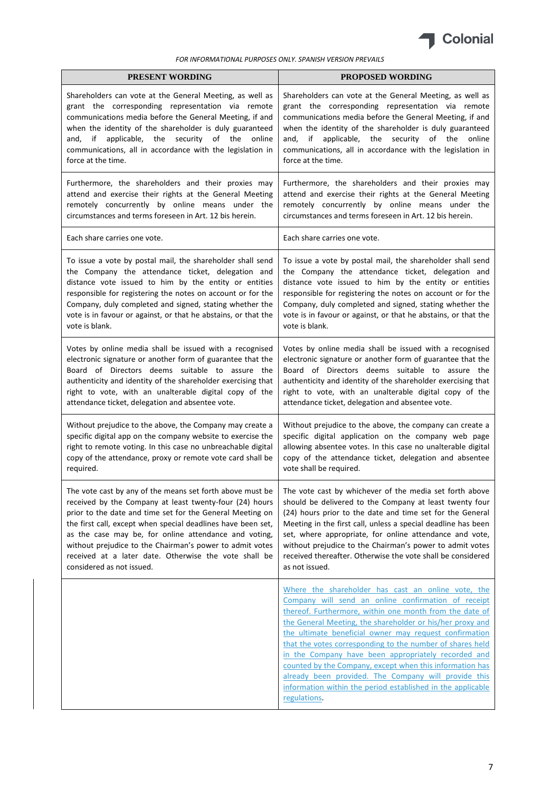

| PRESENT WORDING                                                                                                                                                                                                                                                                                                                                                                   | PROPOSED WORDING                                                                                                                                                                                                                                                                                                                                                                                                                                                                                                                                                                                                   |
|-----------------------------------------------------------------------------------------------------------------------------------------------------------------------------------------------------------------------------------------------------------------------------------------------------------------------------------------------------------------------------------|--------------------------------------------------------------------------------------------------------------------------------------------------------------------------------------------------------------------------------------------------------------------------------------------------------------------------------------------------------------------------------------------------------------------------------------------------------------------------------------------------------------------------------------------------------------------------------------------------------------------|
| Shareholders can vote at the General Meeting, as well as<br>grant the corresponding representation via remote<br>communications media before the General Meeting, if and<br>when the identity of the shareholder is duly guaranteed<br>applicable, the security<br>of the<br>and, if<br>online<br>communications, all in accordance with the legislation in<br>force at the time. | Shareholders can vote at the General Meeting, as well as<br>grant the corresponding representation via remote<br>communications media before the General Meeting, if and<br>when the identity of the shareholder is duly guaranteed<br>and, if applicable, the security of the<br>online<br>communications, all in accordance with the legislation in<br>force at the time.                                                                                                                                                                                                                                        |
| Furthermore, the shareholders and their proxies may                                                                                                                                                                                                                                                                                                                               | Furthermore, the shareholders and their proxies may                                                                                                                                                                                                                                                                                                                                                                                                                                                                                                                                                                |
| attend and exercise their rights at the General Meeting                                                                                                                                                                                                                                                                                                                           | attend and exercise their rights at the General Meeting                                                                                                                                                                                                                                                                                                                                                                                                                                                                                                                                                            |
| remotely concurrently by online means under the                                                                                                                                                                                                                                                                                                                                   | remotely concurrently by online means under the                                                                                                                                                                                                                                                                                                                                                                                                                                                                                                                                                                    |
| circumstances and terms foreseen in Art. 12 bis herein.                                                                                                                                                                                                                                                                                                                           | circumstances and terms foreseen in Art. 12 bis herein.                                                                                                                                                                                                                                                                                                                                                                                                                                                                                                                                                            |
| Each share carries one vote.                                                                                                                                                                                                                                                                                                                                                      | Each share carries one vote.                                                                                                                                                                                                                                                                                                                                                                                                                                                                                                                                                                                       |
| To issue a vote by postal mail, the shareholder shall send                                                                                                                                                                                                                                                                                                                        | To issue a vote by postal mail, the shareholder shall send                                                                                                                                                                                                                                                                                                                                                                                                                                                                                                                                                         |
| the Company the attendance ticket, delegation and                                                                                                                                                                                                                                                                                                                                 | the Company the attendance ticket, delegation and                                                                                                                                                                                                                                                                                                                                                                                                                                                                                                                                                                  |
| distance vote issued to him by the entity or entities                                                                                                                                                                                                                                                                                                                             | distance vote issued to him by the entity or entities                                                                                                                                                                                                                                                                                                                                                                                                                                                                                                                                                              |
| responsible for registering the notes on account or for the                                                                                                                                                                                                                                                                                                                       | responsible for registering the notes on account or for the                                                                                                                                                                                                                                                                                                                                                                                                                                                                                                                                                        |
| Company, duly completed and signed, stating whether the                                                                                                                                                                                                                                                                                                                           | Company, duly completed and signed, stating whether the                                                                                                                                                                                                                                                                                                                                                                                                                                                                                                                                                            |
| vote is in favour or against, or that he abstains, or that the                                                                                                                                                                                                                                                                                                                    | vote is in favour or against, or that he abstains, or that the                                                                                                                                                                                                                                                                                                                                                                                                                                                                                                                                                     |
| vote is blank.                                                                                                                                                                                                                                                                                                                                                                    | vote is blank.                                                                                                                                                                                                                                                                                                                                                                                                                                                                                                                                                                                                     |
| Votes by online media shall be issued with a recognised                                                                                                                                                                                                                                                                                                                           | Votes by online media shall be issued with a recognised                                                                                                                                                                                                                                                                                                                                                                                                                                                                                                                                                            |
| electronic signature or another form of guarantee that the                                                                                                                                                                                                                                                                                                                        | electronic signature or another form of guarantee that the                                                                                                                                                                                                                                                                                                                                                                                                                                                                                                                                                         |
| Board of Directors deems suitable to assure the                                                                                                                                                                                                                                                                                                                                   | Board of Directors deems suitable to assure the                                                                                                                                                                                                                                                                                                                                                                                                                                                                                                                                                                    |
| authenticity and identity of the shareholder exercising that                                                                                                                                                                                                                                                                                                                      | authenticity and identity of the shareholder exercising that                                                                                                                                                                                                                                                                                                                                                                                                                                                                                                                                                       |
| right to vote, with an unalterable digital copy of the                                                                                                                                                                                                                                                                                                                            | right to vote, with an unalterable digital copy of the                                                                                                                                                                                                                                                                                                                                                                                                                                                                                                                                                             |
| attendance ticket, delegation and absentee vote.                                                                                                                                                                                                                                                                                                                                  | attendance ticket, delegation and absentee vote.                                                                                                                                                                                                                                                                                                                                                                                                                                                                                                                                                                   |
| Without prejudice to the above, the Company may create a                                                                                                                                                                                                                                                                                                                          | Without prejudice to the above, the company can create a                                                                                                                                                                                                                                                                                                                                                                                                                                                                                                                                                           |
| specific digital app on the company website to exercise the                                                                                                                                                                                                                                                                                                                       | specific digital application on the company web page                                                                                                                                                                                                                                                                                                                                                                                                                                                                                                                                                               |
| right to remote voting. In this case no unbreachable digital                                                                                                                                                                                                                                                                                                                      | allowing absentee votes. In this case no unalterable digital                                                                                                                                                                                                                                                                                                                                                                                                                                                                                                                                                       |
| copy of the attendance, proxy or remote vote card shall be                                                                                                                                                                                                                                                                                                                        | copy of the attendance ticket, delegation and absentee                                                                                                                                                                                                                                                                                                                                                                                                                                                                                                                                                             |
| required.                                                                                                                                                                                                                                                                                                                                                                         | vote shall be required.                                                                                                                                                                                                                                                                                                                                                                                                                                                                                                                                                                                            |
| The vote cast by any of the means set forth above must be                                                                                                                                                                                                                                                                                                                         | The vote cast by whichever of the media set forth above                                                                                                                                                                                                                                                                                                                                                                                                                                                                                                                                                            |
| received by the Company at least twenty-four (24) hours                                                                                                                                                                                                                                                                                                                           | should be delivered to the Company at least twenty four                                                                                                                                                                                                                                                                                                                                                                                                                                                                                                                                                            |
| prior to the date and time set for the General Meeting on                                                                                                                                                                                                                                                                                                                         | (24) hours prior to the date and time set for the General                                                                                                                                                                                                                                                                                                                                                                                                                                                                                                                                                          |
| the first call, except when special deadlines have been set,                                                                                                                                                                                                                                                                                                                      | Meeting in the first call, unless a special deadline has been                                                                                                                                                                                                                                                                                                                                                                                                                                                                                                                                                      |
| as the case may be, for online attendance and voting,                                                                                                                                                                                                                                                                                                                             | set, where appropriate, for online attendance and vote,                                                                                                                                                                                                                                                                                                                                                                                                                                                                                                                                                            |
| without prejudice to the Chairman's power to admit votes                                                                                                                                                                                                                                                                                                                          | without prejudice to the Chairman's power to admit votes                                                                                                                                                                                                                                                                                                                                                                                                                                                                                                                                                           |
| received at a later date. Otherwise the vote shall be                                                                                                                                                                                                                                                                                                                             | received thereafter. Otherwise the vote shall be considered                                                                                                                                                                                                                                                                                                                                                                                                                                                                                                                                                        |
| considered as not issued.                                                                                                                                                                                                                                                                                                                                                         | as not issued.                                                                                                                                                                                                                                                                                                                                                                                                                                                                                                                                                                                                     |
|                                                                                                                                                                                                                                                                                                                                                                                   | Where the shareholder has cast an online vote, the<br>Company will send an online confirmation of receipt<br>thereof. Furthermore, within one month from the date of<br>the General Meeting, the shareholder or his/her proxy and<br>the ultimate beneficial owner may request confirmation<br>that the votes corresponding to the number of shares held<br>in the Company have been appropriately recorded and<br>counted by the Company, except when this information has<br>already been provided. The Company will provide this<br>information within the period established in the applicable<br>regulations. |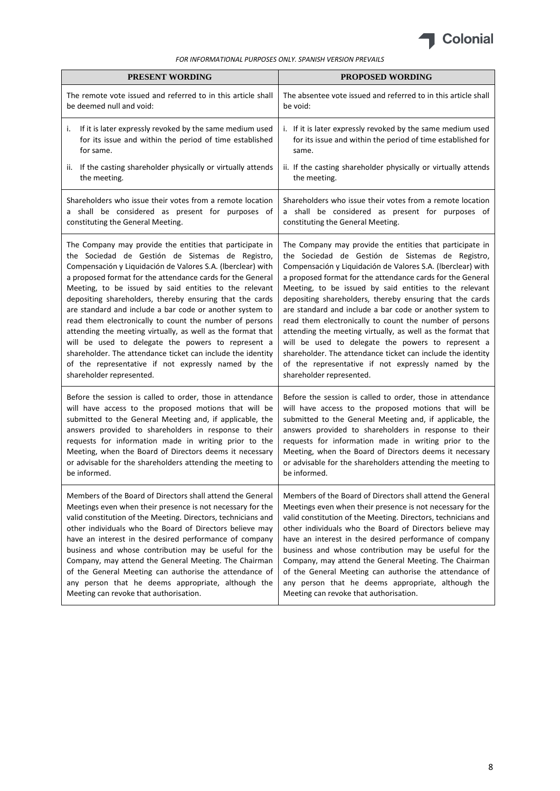

| <b>PRESENT WORDING</b>                                                                                                                 | <b>PROPOSED WORDING</b>                                                                                                             |
|----------------------------------------------------------------------------------------------------------------------------------------|-------------------------------------------------------------------------------------------------------------------------------------|
| The remote vote issued and referred to in this article shall                                                                           | The absentee vote issued and referred to in this article shall                                                                      |
| be deemed null and void:                                                                                                               | be void:                                                                                                                            |
| If it is later expressly revoked by the same medium used<br>i.<br>for its issue and within the period of time established<br>for same. | i. If it is later expressly revoked by the same medium used<br>for its issue and within the period of time established for<br>same. |
| ii. If the casting shareholder physically or virtually attends                                                                         | ii. If the casting shareholder physically or virtually attends                                                                      |
| the meeting.                                                                                                                           | the meeting.                                                                                                                        |
| Shareholders who issue their votes from a remote location                                                                              | Shareholders who issue their votes from a remote location                                                                           |
| a shall be considered as present for purposes of                                                                                       | a shall be considered as present for purposes of                                                                                    |
| constituting the General Meeting.                                                                                                      | constituting the General Meeting.                                                                                                   |
| The Company may provide the entities that participate in                                                                               | The Company may provide the entities that participate in                                                                            |
| the Sociedad de Gestión de Sistemas de Registro,                                                                                       | the Sociedad de Gestión de Sistemas de Registro,                                                                                    |
| Compensación y Liquidación de Valores S.A. (Iberclear) with                                                                            | Compensación y Liquidación de Valores S.A. (Iberclear) with                                                                         |
| a proposed format for the attendance cards for the General                                                                             | a proposed format for the attendance cards for the General                                                                          |
| Meeting, to be issued by said entities to the relevant                                                                                 | Meeting, to be issued by said entities to the relevant                                                                              |
| depositing shareholders, thereby ensuring that the cards                                                                               | depositing shareholders, thereby ensuring that the cards                                                                            |
| are standard and include a bar code or another system to                                                                               | are standard and include a bar code or another system to                                                                            |
| read them electronically to count the number of persons                                                                                | read them electronically to count the number of persons                                                                             |
| attending the meeting virtually, as well as the format that                                                                            | attending the meeting virtually, as well as the format that                                                                         |
| will be used to delegate the powers to represent a                                                                                     | will be used to delegate the powers to represent a                                                                                  |
| shareholder. The attendance ticket can include the identity                                                                            | shareholder. The attendance ticket can include the identity                                                                         |
| of the representative if not expressly named by the                                                                                    | of the representative if not expressly named by the                                                                                 |
| shareholder represented.                                                                                                               | shareholder represented.                                                                                                            |
| Before the session is called to order, those in attendance                                                                             | Before the session is called to order, those in attendance                                                                          |
| will have access to the proposed motions that will be                                                                                  | will have access to the proposed motions that will be                                                                               |
| submitted to the General Meeting and, if applicable, the                                                                               | submitted to the General Meeting and, if applicable, the                                                                            |
| answers provided to shareholders in response to their                                                                                  | answers provided to shareholders in response to their                                                                               |
| requests for information made in writing prior to the                                                                                  | requests for information made in writing prior to the                                                                               |
| Meeting, when the Board of Directors deems it necessary                                                                                | Meeting, when the Board of Directors deems it necessary                                                                             |
| or advisable for the shareholders attending the meeting to                                                                             | or advisable for the shareholders attending the meeting to                                                                          |
| be informed.                                                                                                                           | be informed.                                                                                                                        |
| Members of the Board of Directors shall attend the General                                                                             | Members of the Board of Directors shall attend the General                                                                          |
| Meetings even when their presence is not necessary for the                                                                             | Meetings even when their presence is not necessary for the                                                                          |
| valid constitution of the Meeting. Directors, technicians and                                                                          | valid constitution of the Meeting. Directors, technicians and                                                                       |
| other individuals who the Board of Directors believe may                                                                               | other individuals who the Board of Directors believe may                                                                            |
| have an interest in the desired performance of company                                                                                 | have an interest in the desired performance of company                                                                              |
| business and whose contribution may be useful for the                                                                                  | business and whose contribution may be useful for the                                                                               |
| Company, may attend the General Meeting. The Chairman                                                                                  | Company, may attend the General Meeting. The Chairman                                                                               |
| of the General Meeting can authorise the attendance of                                                                                 | of the General Meeting can authorise the attendance of                                                                              |
| any person that he deems appropriate, although the                                                                                     | any person that he deems appropriate, although the                                                                                  |
| Meeting can revoke that authorisation.                                                                                                 | Meeting can revoke that authorisation.                                                                                              |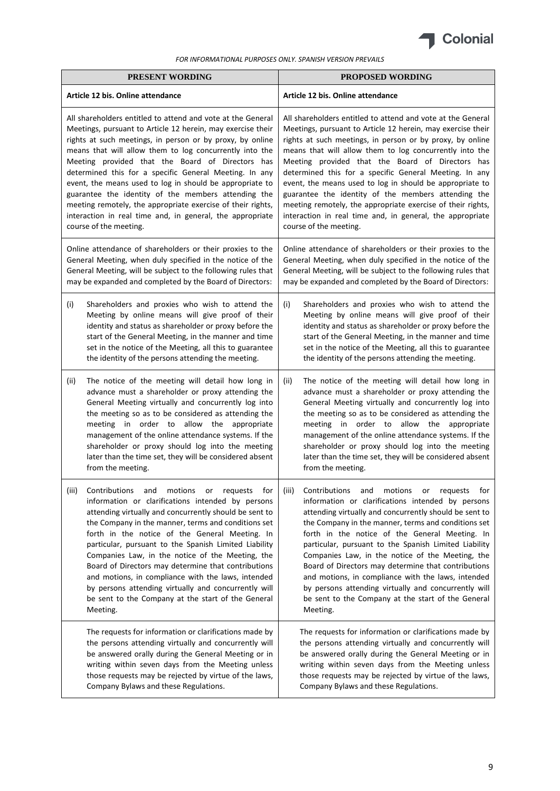

|       | PRESENT WORDING                                                                                                                                                                                                                                                                                                                                                                                                                                                                                                                                                                                                                           | <b>PROPOSED WORDING</b>                                                                                                                                                                                                                                                                                                                                                                                                                                                                                                                                                                                                                                               |
|-------|-------------------------------------------------------------------------------------------------------------------------------------------------------------------------------------------------------------------------------------------------------------------------------------------------------------------------------------------------------------------------------------------------------------------------------------------------------------------------------------------------------------------------------------------------------------------------------------------------------------------------------------------|-----------------------------------------------------------------------------------------------------------------------------------------------------------------------------------------------------------------------------------------------------------------------------------------------------------------------------------------------------------------------------------------------------------------------------------------------------------------------------------------------------------------------------------------------------------------------------------------------------------------------------------------------------------------------|
|       | Article 12 bis. Online attendance                                                                                                                                                                                                                                                                                                                                                                                                                                                                                                                                                                                                         | Article 12 bis. Online attendance                                                                                                                                                                                                                                                                                                                                                                                                                                                                                                                                                                                                                                     |
|       | All shareholders entitled to attend and vote at the General<br>Meetings, pursuant to Article 12 herein, may exercise their<br>rights at such meetings, in person or by proxy, by online<br>means that will allow them to log concurrently into the<br>Meeting provided that the Board of Directors has<br>determined this for a specific General Meeting. In any<br>event, the means used to log in should be appropriate to<br>guarantee the identity of the members attending the<br>meeting remotely, the appropriate exercise of their rights,<br>interaction in real time and, in general, the appropriate<br>course of the meeting. | All shareholders entitled to attend and vote at the General<br>Meetings, pursuant to Article 12 herein, may exercise their<br>rights at such meetings, in person or by proxy, by online<br>means that will allow them to log concurrently into the<br>Meeting provided that the Board of Directors has<br>determined this for a specific General Meeting. In any<br>event, the means used to log in should be appropriate to<br>guarantee the identity of the members attending the<br>meeting remotely, the appropriate exercise of their rights,<br>interaction in real time and, in general, the appropriate<br>course of the meeting.                             |
|       | Online attendance of shareholders or their proxies to the<br>General Meeting, when duly specified in the notice of the<br>General Meeting, will be subject to the following rules that<br>may be expanded and completed by the Board of Directors:                                                                                                                                                                                                                                                                                                                                                                                        | Online attendance of shareholders or their proxies to the<br>General Meeting, when duly specified in the notice of the<br>General Meeting, will be subject to the following rules that<br>may be expanded and completed by the Board of Directors:                                                                                                                                                                                                                                                                                                                                                                                                                    |
| (i)   | Shareholders and proxies who wish to attend the<br>Meeting by online means will give proof of their<br>identity and status as shareholder or proxy before the<br>start of the General Meeting, in the manner and time<br>set in the notice of the Meeting, all this to guarantee<br>the identity of the persons attending the meeting.                                                                                                                                                                                                                                                                                                    | (i)<br>Shareholders and proxies who wish to attend the<br>Meeting by online means will give proof of their<br>identity and status as shareholder or proxy before the<br>start of the General Meeting, in the manner and time<br>set in the notice of the Meeting, all this to guarantee<br>the identity of the persons attending the meeting.                                                                                                                                                                                                                                                                                                                         |
| (ii)  | The notice of the meeting will detail how long in<br>advance must a shareholder or proxy attending the<br>General Meeting virtually and concurrently log into<br>the meeting so as to be considered as attending the<br>meeting in order to allow the appropriate<br>management of the online attendance systems. If the<br>shareholder or proxy should log into the meeting<br>later than the time set, they will be considered absent<br>from the meeting.                                                                                                                                                                              | The notice of the meeting will detail how long in<br>(ii)<br>advance must a shareholder or proxy attending the<br>General Meeting virtually and concurrently log into<br>the meeting so as to be considered as attending the<br>meeting in order to allow the appropriate<br>management of the online attendance systems. If the<br>shareholder or proxy should log into the meeting<br>later than the time set, they will be considered absent<br>from the meeting.                                                                                                                                                                                                  |
| (iii) | information or clarifications intended by persons<br>attending virtually and concurrently should be sent to<br>the Company in the manner, terms and conditions set<br>forth in the notice of the General Meeting. In<br>particular, pursuant to the Spanish Limited Liability<br>Companies Law, in the notice of the Meeting, the<br>Board of Directors may determine that contributions<br>and motions, in compliance with the laws, intended<br>by persons attending virtually and concurrently will<br>be sent to the Company at the start of the General<br>Meeting.                                                                  | Contributions and motions or requests for (iii) Contributions and motions or requests for<br>information or clarifications intended by persons<br>attending virtually and concurrently should be sent to<br>the Company in the manner, terms and conditions set<br>forth in the notice of the General Meeting. In<br>particular, pursuant to the Spanish Limited Liability<br>Companies Law, in the notice of the Meeting, the<br>Board of Directors may determine that contributions<br>and motions, in compliance with the laws, intended<br>by persons attending virtually and concurrently will<br>be sent to the Company at the start of the General<br>Meeting. |
|       | The requests for information or clarifications made by<br>the persons attending virtually and concurrently will<br>be answered orally during the General Meeting or in<br>writing within seven days from the Meeting unless<br>those requests may be rejected by virtue of the laws,<br>Company Bylaws and these Regulations.                                                                                                                                                                                                                                                                                                             | The requests for information or clarifications made by<br>the persons attending virtually and concurrently will<br>be answered orally during the General Meeting or in<br>writing within seven days from the Meeting unless<br>those requests may be rejected by virtue of the laws,<br>Company Bylaws and these Regulations.                                                                                                                                                                                                                                                                                                                                         |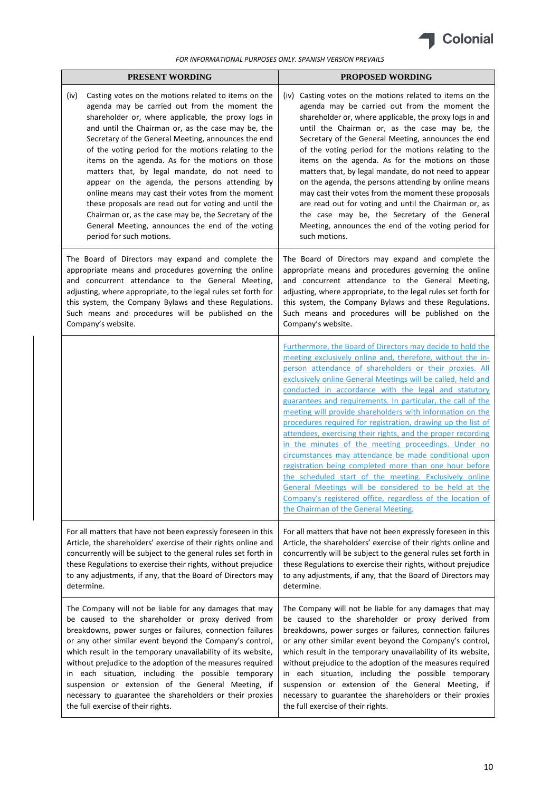

| <b>PRESENT WORDING</b>                                                                                                                                                                                                                                                                                                                                                                                                                                                                                                                                                                                                                                                                                                                                   | <b>PROPOSED WORDING</b>                                                                                                                                                                                                                                                                                                                                                                                                                                                                                                                                                                                                                                                                                                                                                                                                                                                                                                                                                    |
|----------------------------------------------------------------------------------------------------------------------------------------------------------------------------------------------------------------------------------------------------------------------------------------------------------------------------------------------------------------------------------------------------------------------------------------------------------------------------------------------------------------------------------------------------------------------------------------------------------------------------------------------------------------------------------------------------------------------------------------------------------|----------------------------------------------------------------------------------------------------------------------------------------------------------------------------------------------------------------------------------------------------------------------------------------------------------------------------------------------------------------------------------------------------------------------------------------------------------------------------------------------------------------------------------------------------------------------------------------------------------------------------------------------------------------------------------------------------------------------------------------------------------------------------------------------------------------------------------------------------------------------------------------------------------------------------------------------------------------------------|
| (iv)<br>Casting votes on the motions related to items on the<br>agenda may be carried out from the moment the<br>shareholder or, where applicable, the proxy logs in<br>and until the Chairman or, as the case may be, the<br>Secretary of the General Meeting, announces the end<br>of the voting period for the motions relating to the<br>items on the agenda. As for the motions on those<br>matters that, by legal mandate, do not need to<br>appear on the agenda, the persons attending by<br>online means may cast their votes from the moment<br>these proposals are read out for voting and until the<br>Chairman or, as the case may be, the Secretary of the<br>General Meeting, announces the end of the voting<br>period for such motions. | (iv) Casting votes on the motions related to items on the<br>agenda may be carried out from the moment the<br>shareholder or, where applicable, the proxy logs in and<br>until the Chairman or, as the case may be, the<br>Secretary of the General Meeting, announces the end<br>of the voting period for the motions relating to the<br>items on the agenda. As for the motions on those<br>matters that, by legal mandate, do not need to appear<br>on the agenda, the persons attending by online means<br>may cast their votes from the moment these proposals<br>are read out for voting and until the Chairman or, as<br>the case may be, the Secretary of the General<br>Meeting, announces the end of the voting period for<br>such motions.                                                                                                                                                                                                                      |
| The Board of Directors may expand and complete the                                                                                                                                                                                                                                                                                                                                                                                                                                                                                                                                                                                                                                                                                                       | The Board of Directors may expand and complete the                                                                                                                                                                                                                                                                                                                                                                                                                                                                                                                                                                                                                                                                                                                                                                                                                                                                                                                         |
| appropriate means and procedures governing the online                                                                                                                                                                                                                                                                                                                                                                                                                                                                                                                                                                                                                                                                                                    | appropriate means and procedures governing the online                                                                                                                                                                                                                                                                                                                                                                                                                                                                                                                                                                                                                                                                                                                                                                                                                                                                                                                      |
| and concurrent attendance to the General Meeting,                                                                                                                                                                                                                                                                                                                                                                                                                                                                                                                                                                                                                                                                                                        | and concurrent attendance to the General Meeting,                                                                                                                                                                                                                                                                                                                                                                                                                                                                                                                                                                                                                                                                                                                                                                                                                                                                                                                          |
| adjusting, where appropriate, to the legal rules set forth for                                                                                                                                                                                                                                                                                                                                                                                                                                                                                                                                                                                                                                                                                           | adjusting, where appropriate, to the legal rules set forth for                                                                                                                                                                                                                                                                                                                                                                                                                                                                                                                                                                                                                                                                                                                                                                                                                                                                                                             |
| this system, the Company Bylaws and these Regulations.                                                                                                                                                                                                                                                                                                                                                                                                                                                                                                                                                                                                                                                                                                   | this system, the Company Bylaws and these Regulations.                                                                                                                                                                                                                                                                                                                                                                                                                                                                                                                                                                                                                                                                                                                                                                                                                                                                                                                     |
| Such means and procedures will be published on the                                                                                                                                                                                                                                                                                                                                                                                                                                                                                                                                                                                                                                                                                                       | Such means and procedures will be published on the                                                                                                                                                                                                                                                                                                                                                                                                                                                                                                                                                                                                                                                                                                                                                                                                                                                                                                                         |
| Company's website.                                                                                                                                                                                                                                                                                                                                                                                                                                                                                                                                                                                                                                                                                                                                       | Company's website.                                                                                                                                                                                                                                                                                                                                                                                                                                                                                                                                                                                                                                                                                                                                                                                                                                                                                                                                                         |
|                                                                                                                                                                                                                                                                                                                                                                                                                                                                                                                                                                                                                                                                                                                                                          | Furthermore, the Board of Directors may decide to hold the<br>meeting exclusively online and, therefore, without the in-<br>person attendance of shareholders or their proxies. All<br>exclusively online General Meetings will be called, held and<br>conducted in accordance with the legal and statutory<br>guarantees and requirements. In particular, the call of the<br>meeting will provide shareholders with information on the<br>procedures required for registration, drawing up the list of<br>attendees, exercising their rights, and the proper recording<br>in the minutes of the meeting proceedings. Under no<br>circumstances may attendance be made conditional upon<br>registration being completed more than one hour before<br>the scheduled start of the meeting. Exclusively online<br>General Meetings will be considered to be held at the<br>Company's registered office, regardless of the location of<br>the Chairman of the General Meeting. |
| For all matters that have not been expressly foreseen in this                                                                                                                                                                                                                                                                                                                                                                                                                                                                                                                                                                                                                                                                                            | For all matters that have not been expressly foreseen in this                                                                                                                                                                                                                                                                                                                                                                                                                                                                                                                                                                                                                                                                                                                                                                                                                                                                                                              |
| Article, the shareholders' exercise of their rights online and                                                                                                                                                                                                                                                                                                                                                                                                                                                                                                                                                                                                                                                                                           | Article, the shareholders' exercise of their rights online and                                                                                                                                                                                                                                                                                                                                                                                                                                                                                                                                                                                                                                                                                                                                                                                                                                                                                                             |
| concurrently will be subject to the general rules set forth in                                                                                                                                                                                                                                                                                                                                                                                                                                                                                                                                                                                                                                                                                           | concurrently will be subject to the general rules set forth in                                                                                                                                                                                                                                                                                                                                                                                                                                                                                                                                                                                                                                                                                                                                                                                                                                                                                                             |
| these Regulations to exercise their rights, without prejudice                                                                                                                                                                                                                                                                                                                                                                                                                                                                                                                                                                                                                                                                                            | these Regulations to exercise their rights, without prejudice                                                                                                                                                                                                                                                                                                                                                                                                                                                                                                                                                                                                                                                                                                                                                                                                                                                                                                              |
| to any adjustments, if any, that the Board of Directors may                                                                                                                                                                                                                                                                                                                                                                                                                                                                                                                                                                                                                                                                                              | to any adjustments, if any, that the Board of Directors may                                                                                                                                                                                                                                                                                                                                                                                                                                                                                                                                                                                                                                                                                                                                                                                                                                                                                                                |
| determine.                                                                                                                                                                                                                                                                                                                                                                                                                                                                                                                                                                                                                                                                                                                                               | determine.                                                                                                                                                                                                                                                                                                                                                                                                                                                                                                                                                                                                                                                                                                                                                                                                                                                                                                                                                                 |
| The Company will not be liable for any damages that may                                                                                                                                                                                                                                                                                                                                                                                                                                                                                                                                                                                                                                                                                                  | The Company will not be liable for any damages that may                                                                                                                                                                                                                                                                                                                                                                                                                                                                                                                                                                                                                                                                                                                                                                                                                                                                                                                    |
| be caused to the shareholder or proxy derived from                                                                                                                                                                                                                                                                                                                                                                                                                                                                                                                                                                                                                                                                                                       | be caused to the shareholder or proxy derived from                                                                                                                                                                                                                                                                                                                                                                                                                                                                                                                                                                                                                                                                                                                                                                                                                                                                                                                         |
| breakdowns, power surges or failures, connection failures                                                                                                                                                                                                                                                                                                                                                                                                                                                                                                                                                                                                                                                                                                | breakdowns, power surges or failures, connection failures                                                                                                                                                                                                                                                                                                                                                                                                                                                                                                                                                                                                                                                                                                                                                                                                                                                                                                                  |
| or any other similar event beyond the Company's control,                                                                                                                                                                                                                                                                                                                                                                                                                                                                                                                                                                                                                                                                                                 | or any other similar event beyond the Company's control,                                                                                                                                                                                                                                                                                                                                                                                                                                                                                                                                                                                                                                                                                                                                                                                                                                                                                                                   |
| which result in the temporary unavailability of its website,                                                                                                                                                                                                                                                                                                                                                                                                                                                                                                                                                                                                                                                                                             | which result in the temporary unavailability of its website,                                                                                                                                                                                                                                                                                                                                                                                                                                                                                                                                                                                                                                                                                                                                                                                                                                                                                                               |
| without prejudice to the adoption of the measures required                                                                                                                                                                                                                                                                                                                                                                                                                                                                                                                                                                                                                                                                                               | without prejudice to the adoption of the measures required                                                                                                                                                                                                                                                                                                                                                                                                                                                                                                                                                                                                                                                                                                                                                                                                                                                                                                                 |
| in each situation, including the possible temporary                                                                                                                                                                                                                                                                                                                                                                                                                                                                                                                                                                                                                                                                                                      | in each situation, including the possible temporary                                                                                                                                                                                                                                                                                                                                                                                                                                                                                                                                                                                                                                                                                                                                                                                                                                                                                                                        |
| suspension or extension of the General Meeting, if                                                                                                                                                                                                                                                                                                                                                                                                                                                                                                                                                                                                                                                                                                       | suspension or extension of the General Meeting, if                                                                                                                                                                                                                                                                                                                                                                                                                                                                                                                                                                                                                                                                                                                                                                                                                                                                                                                         |
| necessary to guarantee the shareholders or their proxies                                                                                                                                                                                                                                                                                                                                                                                                                                                                                                                                                                                                                                                                                                 | necessary to guarantee the shareholders or their proxies                                                                                                                                                                                                                                                                                                                                                                                                                                                                                                                                                                                                                                                                                                                                                                                                                                                                                                                   |
| the full exercise of their rights.                                                                                                                                                                                                                                                                                                                                                                                                                                                                                                                                                                                                                                                                                                                       | the full exercise of their rights.                                                                                                                                                                                                                                                                                                                                                                                                                                                                                                                                                                                                                                                                                                                                                                                                                                                                                                                                         |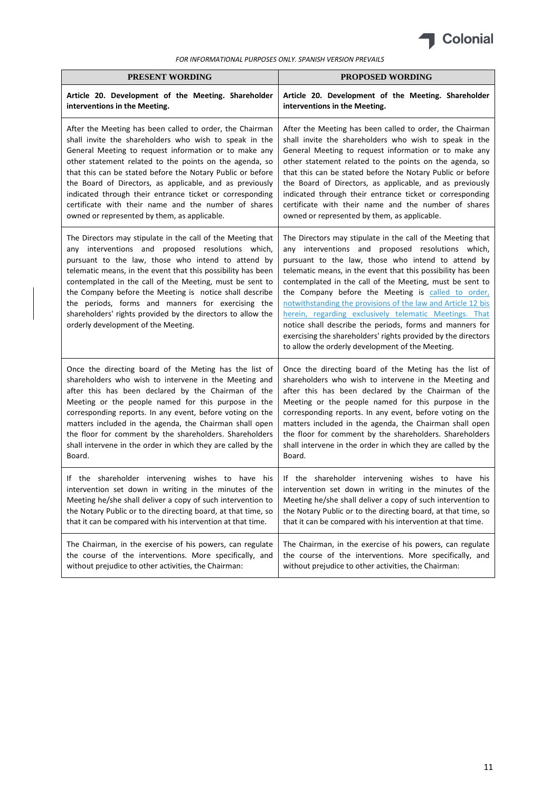

| <b>PRESENT WORDING</b>                                                                                                                                                                                                                                                                                                                                                                                                                                                                                                   | <b>PROPOSED WORDING</b>                                                                                                                                                                                                                                                                                                                                                                                                                                                                                                                                                                                                                                             |
|--------------------------------------------------------------------------------------------------------------------------------------------------------------------------------------------------------------------------------------------------------------------------------------------------------------------------------------------------------------------------------------------------------------------------------------------------------------------------------------------------------------------------|---------------------------------------------------------------------------------------------------------------------------------------------------------------------------------------------------------------------------------------------------------------------------------------------------------------------------------------------------------------------------------------------------------------------------------------------------------------------------------------------------------------------------------------------------------------------------------------------------------------------------------------------------------------------|
| Article 20. Development of the Meeting. Shareholder                                                                                                                                                                                                                                                                                                                                                                                                                                                                      | Article 20. Development of the Meeting. Shareholder                                                                                                                                                                                                                                                                                                                                                                                                                                                                                                                                                                                                                 |
| interventions in the Meeting.                                                                                                                                                                                                                                                                                                                                                                                                                                                                                            | interventions in the Meeting.                                                                                                                                                                                                                                                                                                                                                                                                                                                                                                                                                                                                                                       |
| After the Meeting has been called to order, the Chairman                                                                                                                                                                                                                                                                                                                                                                                                                                                                 | After the Meeting has been called to order, the Chairman                                                                                                                                                                                                                                                                                                                                                                                                                                                                                                                                                                                                            |
| shall invite the shareholders who wish to speak in the                                                                                                                                                                                                                                                                                                                                                                                                                                                                   | shall invite the shareholders who wish to speak in the                                                                                                                                                                                                                                                                                                                                                                                                                                                                                                                                                                                                              |
| General Meeting to request information or to make any                                                                                                                                                                                                                                                                                                                                                                                                                                                                    | General Meeting to request information or to make any                                                                                                                                                                                                                                                                                                                                                                                                                                                                                                                                                                                                               |
| other statement related to the points on the agenda, so                                                                                                                                                                                                                                                                                                                                                                                                                                                                  | other statement related to the points on the agenda, so                                                                                                                                                                                                                                                                                                                                                                                                                                                                                                                                                                                                             |
| that this can be stated before the Notary Public or before                                                                                                                                                                                                                                                                                                                                                                                                                                                               | that this can be stated before the Notary Public or before                                                                                                                                                                                                                                                                                                                                                                                                                                                                                                                                                                                                          |
| the Board of Directors, as applicable, and as previously                                                                                                                                                                                                                                                                                                                                                                                                                                                                 | the Board of Directors, as applicable, and as previously                                                                                                                                                                                                                                                                                                                                                                                                                                                                                                                                                                                                            |
| indicated through their entrance ticket or corresponding                                                                                                                                                                                                                                                                                                                                                                                                                                                                 | indicated through their entrance ticket or corresponding                                                                                                                                                                                                                                                                                                                                                                                                                                                                                                                                                                                                            |
| certificate with their name and the number of shares                                                                                                                                                                                                                                                                                                                                                                                                                                                                     | certificate with their name and the number of shares                                                                                                                                                                                                                                                                                                                                                                                                                                                                                                                                                                                                                |
| owned or represented by them, as applicable.                                                                                                                                                                                                                                                                                                                                                                                                                                                                             | owned or represented by them, as applicable.                                                                                                                                                                                                                                                                                                                                                                                                                                                                                                                                                                                                                        |
| The Directors may stipulate in the call of the Meeting that<br>any interventions and proposed resolutions which,<br>pursuant to the law, those who intend to attend by<br>telematic means, in the event that this possibility has been<br>contemplated in the call of the Meeting, must be sent to<br>the Company before the Meeting is notice shall describe<br>the periods, forms and manners for exercising the<br>shareholders' rights provided by the directors to allow the<br>orderly development of the Meeting. | The Directors may stipulate in the call of the Meeting that<br>any interventions and proposed resolutions which,<br>pursuant to the law, those who intend to attend by<br>telematic means, in the event that this possibility has been<br>contemplated in the call of the Meeting, must be sent to<br>the Company before the Meeting is called to order,<br>notwithstanding the provisions of the law and Article 12 bis<br>herein, regarding exclusively telematic Meetings. That<br>notice shall describe the periods, forms and manners for<br>exercising the shareholders' rights provided by the directors<br>to allow the orderly development of the Meeting. |
| Once the directing board of the Meting has the list of                                                                                                                                                                                                                                                                                                                                                                                                                                                                   | Once the directing board of the Meting has the list of                                                                                                                                                                                                                                                                                                                                                                                                                                                                                                                                                                                                              |
| shareholders who wish to intervene in the Meeting and                                                                                                                                                                                                                                                                                                                                                                                                                                                                    | shareholders who wish to intervene in the Meeting and                                                                                                                                                                                                                                                                                                                                                                                                                                                                                                                                                                                                               |
| after this has been declared by the Chairman of the                                                                                                                                                                                                                                                                                                                                                                                                                                                                      | after this has been declared by the Chairman of the                                                                                                                                                                                                                                                                                                                                                                                                                                                                                                                                                                                                                 |
| Meeting or the people named for this purpose in the                                                                                                                                                                                                                                                                                                                                                                                                                                                                      | Meeting or the people named for this purpose in the                                                                                                                                                                                                                                                                                                                                                                                                                                                                                                                                                                                                                 |
| corresponding reports. In any event, before voting on the                                                                                                                                                                                                                                                                                                                                                                                                                                                                | corresponding reports. In any event, before voting on the                                                                                                                                                                                                                                                                                                                                                                                                                                                                                                                                                                                                           |
| matters included in the agenda, the Chairman shall open                                                                                                                                                                                                                                                                                                                                                                                                                                                                  | matters included in the agenda, the Chairman shall open                                                                                                                                                                                                                                                                                                                                                                                                                                                                                                                                                                                                             |
| the floor for comment by the shareholders. Shareholders                                                                                                                                                                                                                                                                                                                                                                                                                                                                  | the floor for comment by the shareholders. Shareholders                                                                                                                                                                                                                                                                                                                                                                                                                                                                                                                                                                                                             |
| shall intervene in the order in which they are called by the                                                                                                                                                                                                                                                                                                                                                                                                                                                             | shall intervene in the order in which they are called by the                                                                                                                                                                                                                                                                                                                                                                                                                                                                                                                                                                                                        |
| Board.                                                                                                                                                                                                                                                                                                                                                                                                                                                                                                                   | Board.                                                                                                                                                                                                                                                                                                                                                                                                                                                                                                                                                                                                                                                              |
| If the shareholder intervening wishes to have his                                                                                                                                                                                                                                                                                                                                                                                                                                                                        | If the shareholder intervening wishes to have his                                                                                                                                                                                                                                                                                                                                                                                                                                                                                                                                                                                                                   |
| intervention set down in writing in the minutes of the                                                                                                                                                                                                                                                                                                                                                                                                                                                                   | intervention set down in writing in the minutes of the                                                                                                                                                                                                                                                                                                                                                                                                                                                                                                                                                                                                              |
| Meeting he/she shall deliver a copy of such intervention to                                                                                                                                                                                                                                                                                                                                                                                                                                                              | Meeting he/she shall deliver a copy of such intervention to                                                                                                                                                                                                                                                                                                                                                                                                                                                                                                                                                                                                         |
| the Notary Public or to the directing board, at that time, so                                                                                                                                                                                                                                                                                                                                                                                                                                                            | the Notary Public or to the directing board, at that time, so                                                                                                                                                                                                                                                                                                                                                                                                                                                                                                                                                                                                       |
| that it can be compared with his intervention at that time.                                                                                                                                                                                                                                                                                                                                                                                                                                                              | that it can be compared with his intervention at that time.                                                                                                                                                                                                                                                                                                                                                                                                                                                                                                                                                                                                         |
| The Chairman, in the exercise of his powers, can regulate                                                                                                                                                                                                                                                                                                                                                                                                                                                                | The Chairman, in the exercise of his powers, can regulate                                                                                                                                                                                                                                                                                                                                                                                                                                                                                                                                                                                                           |
| the course of the interventions. More specifically, and                                                                                                                                                                                                                                                                                                                                                                                                                                                                  | the course of the interventions. More specifically, and                                                                                                                                                                                                                                                                                                                                                                                                                                                                                                                                                                                                             |
| without prejudice to other activities, the Chairman:                                                                                                                                                                                                                                                                                                                                                                                                                                                                     | without prejudice to other activities, the Chairman:                                                                                                                                                                                                                                                                                                                                                                                                                                                                                                                                                                                                                |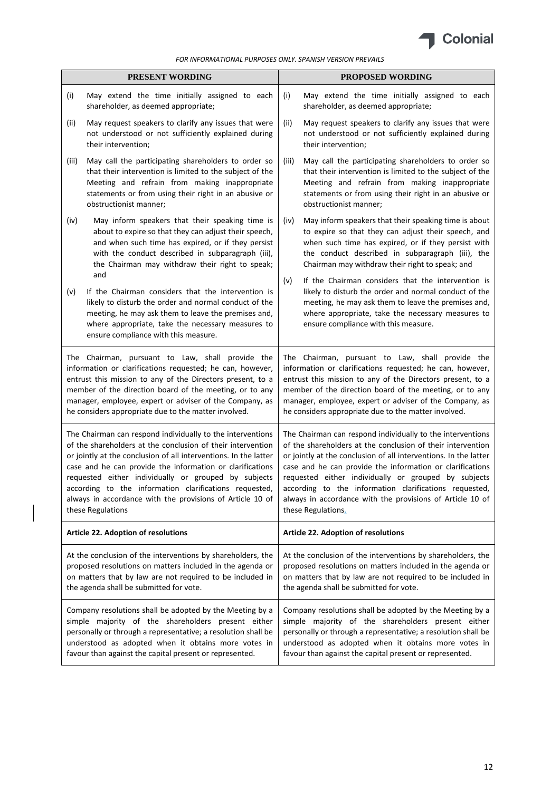

|       | PRESENT WORDING                                                                                                                                                                                                                                                                                                                                                                                                                                                | <b>PROPOSED WORDING</b>                                                                                                                                                                                                                                                                                                                                                                                                                                         |
|-------|----------------------------------------------------------------------------------------------------------------------------------------------------------------------------------------------------------------------------------------------------------------------------------------------------------------------------------------------------------------------------------------------------------------------------------------------------------------|-----------------------------------------------------------------------------------------------------------------------------------------------------------------------------------------------------------------------------------------------------------------------------------------------------------------------------------------------------------------------------------------------------------------------------------------------------------------|
| (i)   | May extend the time initially assigned to each<br>shareholder, as deemed appropriate;                                                                                                                                                                                                                                                                                                                                                                          | May extend the time initially assigned to each<br>(i)<br>shareholder, as deemed appropriate;                                                                                                                                                                                                                                                                                                                                                                    |
| (ii)  | May request speakers to clarify any issues that were<br>not understood or not sufficiently explained during<br>their intervention;                                                                                                                                                                                                                                                                                                                             | May request speakers to clarify any issues that were<br>(ii)<br>not understood or not sufficiently explained during<br>their intervention;                                                                                                                                                                                                                                                                                                                      |
| (iii) | May call the participating shareholders to order so<br>that their intervention is limited to the subject of the<br>Meeting and refrain from making inappropriate<br>statements or from using their right in an abusive or<br>obstructionist manner;                                                                                                                                                                                                            | May call the participating shareholders to order so<br>(iii)<br>that their intervention is limited to the subject of the<br>Meeting and refrain from making inappropriate<br>statements or from using their right in an abusive or<br>obstructionist manner;                                                                                                                                                                                                    |
| (iv)  | May inform speakers that their speaking time is<br>about to expire so that they can adjust their speech,<br>and when such time has expired, or if they persist<br>with the conduct described in subparagraph (iii),<br>the Chairman may withdraw their right to speak;<br>and                                                                                                                                                                                  | May inform speakers that their speaking time is about<br>(iv)<br>to expire so that they can adjust their speech, and<br>when such time has expired, or if they persist with<br>the conduct described in subparagraph (iii), the<br>Chairman may withdraw their right to speak; and                                                                                                                                                                              |
| (v)   | If the Chairman considers that the intervention is<br>likely to disturb the order and normal conduct of the<br>meeting, he may ask them to leave the premises and,<br>where appropriate, take the necessary measures to<br>ensure compliance with this measure.                                                                                                                                                                                                | (v)<br>If the Chairman considers that the intervention is<br>likely to disturb the order and normal conduct of the<br>meeting, he may ask them to leave the premises and,<br>where appropriate, take the necessary measures to<br>ensure compliance with this measure.                                                                                                                                                                                          |
|       | The Chairman, pursuant to Law, shall provide the<br>information or clarifications requested; he can, however,<br>entrust this mission to any of the Directors present, to a<br>member of the direction board of the meeting, or to any<br>manager, employee, expert or adviser of the Company, as<br>he considers appropriate due to the matter involved.                                                                                                      | The Chairman, pursuant to Law, shall provide the<br>information or clarifications requested; he can, however,<br>entrust this mission to any of the Directors present, to a<br>member of the direction board of the meeting, or to any<br>manager, employee, expert or adviser of the Company, as<br>he considers appropriate due to the matter involved.                                                                                                       |
|       | The Chairman can respond individually to the interventions<br>of the shareholders at the conclusion of their intervention<br>or jointly at the conclusion of all interventions. In the latter<br>case and he can provide the information or clarifications<br>requested either individually or grouped by subjects<br>according to the information clarifications requested.<br>always in accordance with the provisions of Article 10 of<br>these Regulations | The Chairman can respond individually to the interventions<br>of the shareholders at the conclusion of their intervention<br>or jointly at the conclusion of all interventions. In the latter<br>case and he can provide the information or clarifications<br>requested either individually or grouped by subjects<br>according to the information clarifications requested.<br>always in accordance with the provisions of Article 10 of<br>these Regulations. |
|       | Article 22. Adoption of resolutions                                                                                                                                                                                                                                                                                                                                                                                                                            | Article 22. Adoption of resolutions                                                                                                                                                                                                                                                                                                                                                                                                                             |
|       | At the conclusion of the interventions by shareholders, the<br>proposed resolutions on matters included in the agenda or<br>on matters that by law are not required to be included in<br>the agenda shall be submitted for vote.                                                                                                                                                                                                                               | At the conclusion of the interventions by shareholders, the<br>proposed resolutions on matters included in the agenda or<br>on matters that by law are not required to be included in<br>the agenda shall be submitted for vote.                                                                                                                                                                                                                                |
|       | Company resolutions shall be adopted by the Meeting by a<br>simple majority of the shareholders present either<br>personally or through a representative; a resolution shall be<br>understood as adopted when it obtains more votes in<br>favour than against the capital present or represented.                                                                                                                                                              | Company resolutions shall be adopted by the Meeting by a<br>simple majority of the shareholders present either<br>personally or through a representative; a resolution shall be<br>understood as adopted when it obtains more votes in<br>favour than against the capital present or represented.                                                                                                                                                               |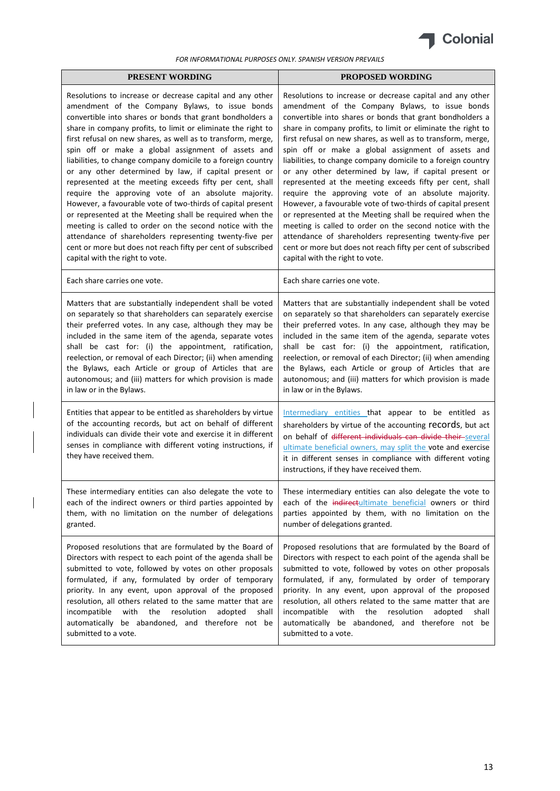

| <b>PRESENT WORDING</b>                                                                                                                                                                                                                                                                  | <b>PROPOSED WORDING</b>                                                                                                                                                                                                                                                                                                                                   |
|-----------------------------------------------------------------------------------------------------------------------------------------------------------------------------------------------------------------------------------------------------------------------------------------|-----------------------------------------------------------------------------------------------------------------------------------------------------------------------------------------------------------------------------------------------------------------------------------------------------------------------------------------------------------|
| Resolutions to increase or decrease capital and any other                                                                                                                                                                                                                               | Resolutions to increase or decrease capital and any other                                                                                                                                                                                                                                                                                                 |
| amendment of the Company Bylaws, to issue bonds                                                                                                                                                                                                                                         | amendment of the Company Bylaws, to issue bonds                                                                                                                                                                                                                                                                                                           |
| convertible into shares or bonds that grant bondholders a                                                                                                                                                                                                                               | convertible into shares or bonds that grant bondholders a                                                                                                                                                                                                                                                                                                 |
| share in company profits, to limit or eliminate the right to                                                                                                                                                                                                                            | share in company profits, to limit or eliminate the right to                                                                                                                                                                                                                                                                                              |
| first refusal on new shares, as well as to transform, merge,                                                                                                                                                                                                                            | first refusal on new shares, as well as to transform, merge,                                                                                                                                                                                                                                                                                              |
| spin off or make a global assignment of assets and                                                                                                                                                                                                                                      | spin off or make a global assignment of assets and                                                                                                                                                                                                                                                                                                        |
| liabilities, to change company domicile to a foreign country                                                                                                                                                                                                                            | liabilities, to change company domicile to a foreign country                                                                                                                                                                                                                                                                                              |
| or any other determined by law, if capital present or                                                                                                                                                                                                                                   | or any other determined by law, if capital present or                                                                                                                                                                                                                                                                                                     |
| represented at the meeting exceeds fifty per cent, shall                                                                                                                                                                                                                                | represented at the meeting exceeds fifty per cent, shall                                                                                                                                                                                                                                                                                                  |
| require the approving vote of an absolute majority.                                                                                                                                                                                                                                     | require the approving vote of an absolute majority.                                                                                                                                                                                                                                                                                                       |
| However, a favourable vote of two-thirds of capital present                                                                                                                                                                                                                             | However, a favourable vote of two-thirds of capital present                                                                                                                                                                                                                                                                                               |
| or represented at the Meeting shall be required when the                                                                                                                                                                                                                                | or represented at the Meeting shall be required when the                                                                                                                                                                                                                                                                                                  |
| meeting is called to order on the second notice with the                                                                                                                                                                                                                                | meeting is called to order on the second notice with the                                                                                                                                                                                                                                                                                                  |
| attendance of shareholders representing twenty-five per                                                                                                                                                                                                                                 | attendance of shareholders representing twenty-five per                                                                                                                                                                                                                                                                                                   |
| cent or more but does not reach fifty per cent of subscribed                                                                                                                                                                                                                            | cent or more but does not reach fifty per cent of subscribed                                                                                                                                                                                                                                                                                              |
| capital with the right to vote.                                                                                                                                                                                                                                                         | capital with the right to vote.                                                                                                                                                                                                                                                                                                                           |
| Each share carries one vote.                                                                                                                                                                                                                                                            | Each share carries one vote.                                                                                                                                                                                                                                                                                                                              |
| Matters that are substantially independent shall be voted                                                                                                                                                                                                                               | Matters that are substantially independent shall be voted                                                                                                                                                                                                                                                                                                 |
| on separately so that shareholders can separately exercise                                                                                                                                                                                                                              | on separately so that shareholders can separately exercise                                                                                                                                                                                                                                                                                                |
| their preferred votes. In any case, although they may be                                                                                                                                                                                                                                | their preferred votes. In any case, although they may be                                                                                                                                                                                                                                                                                                  |
| included in the same item of the agenda, separate votes                                                                                                                                                                                                                                 | included in the same item of the agenda, separate votes                                                                                                                                                                                                                                                                                                   |
| shall be cast for: (i) the appointment, ratification,                                                                                                                                                                                                                                   | shall be cast for: (i) the appointment, ratification,                                                                                                                                                                                                                                                                                                     |
| reelection, or removal of each Director; (ii) when amending                                                                                                                                                                                                                             | reelection, or removal of each Director; (ii) when amending                                                                                                                                                                                                                                                                                               |
| the Bylaws, each Article or group of Articles that are                                                                                                                                                                                                                                  | the Bylaws, each Article or group of Articles that are                                                                                                                                                                                                                                                                                                    |
| autonomous; and (iii) matters for which provision is made                                                                                                                                                                                                                               | autonomous; and (iii) matters for which provision is made                                                                                                                                                                                                                                                                                                 |
| in law or in the Bylaws.                                                                                                                                                                                                                                                                | in law or in the Bylaws.                                                                                                                                                                                                                                                                                                                                  |
| Entities that appear to be entitled as shareholders by virtue<br>of the accounting records, but act on behalf of different<br>individuals can divide their vote and exercise it in different<br>senses in compliance with different voting instructions, if<br>they have received them. | Intermediary entities that appear to be entitled as<br>shareholders by virtue of the accounting records, but act<br>on behalf of different individuals can divide their several<br>ultimate beneficial owners, may split the vote and exercise<br>it in different senses in compliance with different voting<br>instructions, if they have received them. |
| These intermediary entities can also delegate the vote to                                                                                                                                                                                                                               | These intermediary entities can also delegate the vote to                                                                                                                                                                                                                                                                                                 |
| each of the indirect owners or third parties appointed by                                                                                                                                                                                                                               | each of the indirectultimate beneficial owners or third                                                                                                                                                                                                                                                                                                   |
| them, with no limitation on the number of delegations                                                                                                                                                                                                                                   | parties appointed by them, with no limitation on the                                                                                                                                                                                                                                                                                                      |
| granted.                                                                                                                                                                                                                                                                                | number of delegations granted.                                                                                                                                                                                                                                                                                                                            |
| Proposed resolutions that are formulated by the Board of                                                                                                                                                                                                                                | Proposed resolutions that are formulated by the Board of                                                                                                                                                                                                                                                                                                  |
| Directors with respect to each point of the agenda shall be                                                                                                                                                                                                                             | Directors with respect to each point of the agenda shall be                                                                                                                                                                                                                                                                                               |
| submitted to vote, followed by votes on other proposals                                                                                                                                                                                                                                 | submitted to vote, followed by votes on other proposals                                                                                                                                                                                                                                                                                                   |
| formulated, if any, formulated by order of temporary                                                                                                                                                                                                                                    | formulated, if any, formulated by order of temporary                                                                                                                                                                                                                                                                                                      |
| priority. In any event, upon approval of the proposed                                                                                                                                                                                                                                   | priority. In any event, upon approval of the proposed                                                                                                                                                                                                                                                                                                     |
| resolution, all others related to the same matter that are                                                                                                                                                                                                                              | resolution, all others related to the same matter that are                                                                                                                                                                                                                                                                                                |
| with                                                                                                                                                                                                                                                                                    | with                                                                                                                                                                                                                                                                                                                                                      |
| the                                                                                                                                                                                                                                                                                     | the                                                                                                                                                                                                                                                                                                                                                       |
| resolution                                                                                                                                                                                                                                                                              | resolution                                                                                                                                                                                                                                                                                                                                                |
| adopted                                                                                                                                                                                                                                                                                 | adopted                                                                                                                                                                                                                                                                                                                                                   |
| incompatible                                                                                                                                                                                                                                                                            | incompatible                                                                                                                                                                                                                                                                                                                                              |
| shall                                                                                                                                                                                                                                                                                   | shall                                                                                                                                                                                                                                                                                                                                                     |
| automatically be abandoned, and therefore not be                                                                                                                                                                                                                                        | automatically be abandoned, and therefore not be                                                                                                                                                                                                                                                                                                          |
| submitted to a vote.                                                                                                                                                                                                                                                                    | submitted to a vote.                                                                                                                                                                                                                                                                                                                                      |

 $\overline{\phantom{a}}$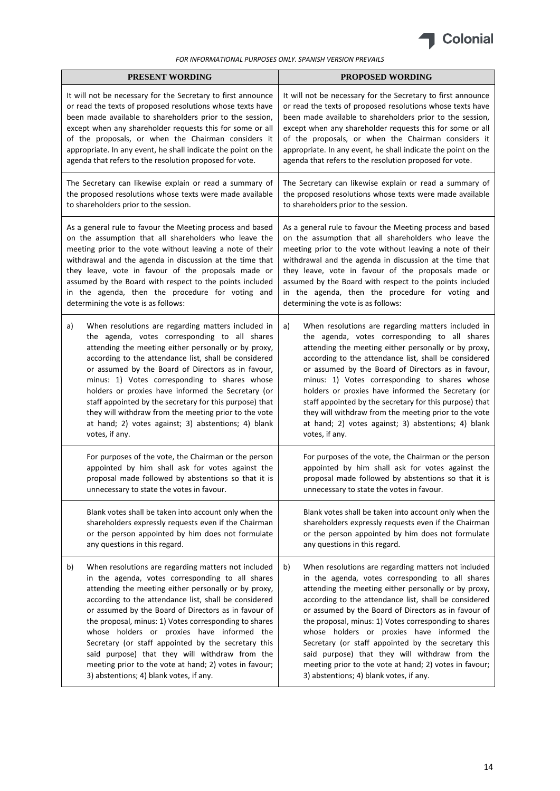

| PRESENT WORDING                                               | <b>PROPOSED WORDING</b>                                       |
|---------------------------------------------------------------|---------------------------------------------------------------|
| It will not be necessary for the Secretary to first announce  | It will not be necessary for the Secretary to first announce  |
| or read the texts of proposed resolutions whose texts have    | or read the texts of proposed resolutions whose texts have    |
| been made available to shareholders prior to the session,     | been made available to shareholders prior to the session,     |
| except when any shareholder requests this for some or all     | except when any shareholder requests this for some or all     |
| of the proposals, or when the Chairman considers it           | of the proposals, or when the Chairman considers it           |
| appropriate. In any event, he shall indicate the point on the | appropriate. In any event, he shall indicate the point on the |
| agenda that refers to the resolution proposed for vote.       | agenda that refers to the resolution proposed for vote.       |
| The Secretary can likewise explain or read a summary of       | The Secretary can likewise explain or read a summary of       |
| the proposed resolutions whose texts were made available      | the proposed resolutions whose texts were made available      |
| to shareholders prior to the session.                         | to shareholders prior to the session.                         |
| As a general rule to favour the Meeting process and based     | As a general rule to favour the Meeting process and based     |
| on the assumption that all shareholders who leave the         | on the assumption that all shareholders who leave the         |
| meeting prior to the vote without leaving a note of their     | meeting prior to the vote without leaving a note of their     |
| withdrawal and the agenda in discussion at the time that      | withdrawal and the agenda in discussion at the time that      |
| they leave, vote in favour of the proposals made or           | they leave, vote in favour of the proposals made or           |
| assumed by the Board with respect to the points included      | assumed by the Board with respect to the points included      |
| in the agenda, then the procedure for voting and              | in the agenda, then the procedure for voting and              |
| determining the vote is as follows:                           | determining the vote is as follows:                           |
| When resolutions are regarding matters included in            | When resolutions are regarding matters included in            |
| a)                                                            | a)                                                            |
| the agenda, votes corresponding to all shares                 | the agenda, votes corresponding to all shares                 |
| attending the meeting either personally or by proxy,          | attending the meeting either personally or by proxy,          |
| according to the attendance list, shall be considered         | according to the attendance list, shall be considered         |
| or assumed by the Board of Directors as in favour,            | or assumed by the Board of Directors as in favour,            |
| minus: 1) Votes corresponding to shares whose                 | minus: 1) Votes corresponding to shares whose                 |
| holders or proxies have informed the Secretary (or            | holders or proxies have informed the Secretary (or            |
| staff appointed by the secretary for this purpose) that       | staff appointed by the secretary for this purpose) that       |
| they will withdraw from the meeting prior to the vote         | they will withdraw from the meeting prior to the vote         |
| at hand; 2) votes against; 3) abstentions; 4) blank           | at hand; 2) votes against; 3) abstentions; 4) blank           |
| votes, if any.                                                | votes, if any.                                                |
| For purposes of the vote, the Chairman or the person          | For purposes of the vote, the Chairman or the person          |
| appointed by him shall ask for votes against the              | appointed by him shall ask for votes against the              |
| proposal made followed by abstentions so that it is           | proposal made followed by abstentions so that it is           |
| unnecessary to state the votes in favour.                     | unnecessary to state the votes in favour.                     |
| Blank votes shall be taken into account only when the         | Blank votes shall be taken into account only when the         |
| shareholders expressly requests even if the Chairman          | shareholders expressly requests even if the Chairman          |
| or the person appointed by him does not formulate             | or the person appointed by him does not formulate             |
| any questions in this regard.                                 | any questions in this regard.                                 |
| b)                                                            | When resolutions are regarding matters not included           |
| When resolutions are regarding matters not included           | b)                                                            |
| in the agenda, votes corresponding to all shares              | in the agenda, votes corresponding to all shares              |
| attending the meeting either personally or by proxy,          | attending the meeting either personally or by proxy,          |
| according to the attendance list, shall be considered         | according to the attendance list, shall be considered         |
| or assumed by the Board of Directors as in favour of          | or assumed by the Board of Directors as in favour of          |
| the proposal, minus: 1) Votes corresponding to shares         | the proposal, minus: 1) Votes corresponding to shares         |
| whose holders or proxies have informed the                    | whose holders or proxies have informed the                    |
| Secretary (or staff appointed by the secretary this           | Secretary (or staff appointed by the secretary this           |
| said purpose) that they will withdraw from the                | said purpose) that they will withdraw from the                |
| meeting prior to the vote at hand; 2) votes in favour;        | meeting prior to the vote at hand; 2) votes in favour;        |
| 3) abstentions; 4) blank votes, if any.                       | 3) abstentions; 4) blank votes, if any.                       |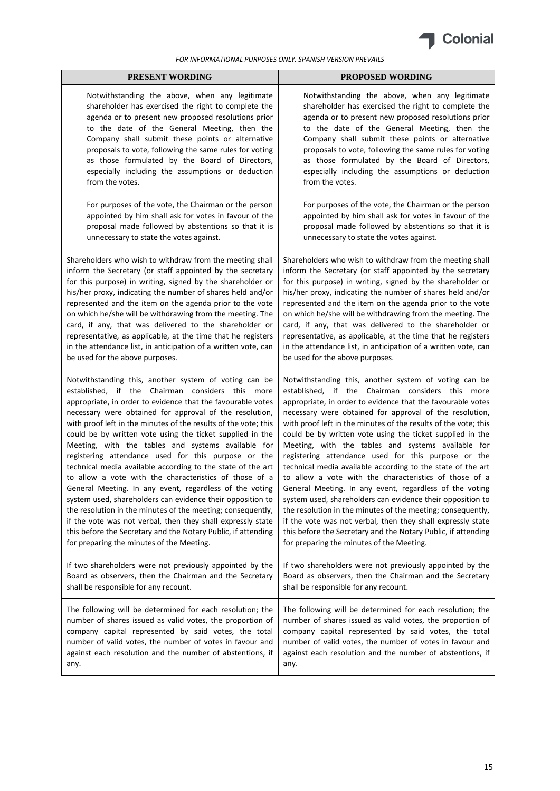

| PRESENT WORDING                                                 | <b>PROPOSED WORDING</b>                                         |
|-----------------------------------------------------------------|-----------------------------------------------------------------|
| Notwithstanding the above, when any legitimate                  | Notwithstanding the above, when any legitimate                  |
| shareholder has exercised the right to complete the             | shareholder has exercised the right to complete the             |
| agenda or to present new proposed resolutions prior             | agenda or to present new proposed resolutions prior             |
| to the date of the General Meeting, then the                    | to the date of the General Meeting, then the                    |
| Company shall submit these points or alternative                | Company shall submit these points or alternative                |
| proposals to vote, following the same rules for voting          | proposals to vote, following the same rules for voting          |
| as those formulated by the Board of Directors,                  | as those formulated by the Board of Directors,                  |
| especially including the assumptions or deduction               | especially including the assumptions or deduction               |
| from the votes.                                                 | from the votes.                                                 |
| For purposes of the vote, the Chairman or the person            | For purposes of the vote, the Chairman or the person            |
| appointed by him shall ask for votes in favour of the           | appointed by him shall ask for votes in favour of the           |
| proposal made followed by abstentions so that it is             | proposal made followed by abstentions so that it is             |
| unnecessary to state the votes against.                         | unnecessary to state the votes against.                         |
| Shareholders who wish to withdraw from the meeting shall        | Shareholders who wish to withdraw from the meeting shall        |
| inform the Secretary (or staff appointed by the secretary       | inform the Secretary (or staff appointed by the secretary       |
| for this purpose) in writing, signed by the shareholder or      | for this purpose) in writing, signed by the shareholder or      |
| his/her proxy, indicating the number of shares held and/or      | his/her proxy, indicating the number of shares held and/or      |
| represented and the item on the agenda prior to the vote        | represented and the item on the agenda prior to the vote        |
| on which he/she will be withdrawing from the meeting. The       | on which he/she will be withdrawing from the meeting. The       |
| card, if any, that was delivered to the shareholder or          | card, if any, that was delivered to the shareholder or          |
| representative, as applicable, at the time that he registers    | representative, as applicable, at the time that he registers    |
| in the attendance list, in anticipation of a written vote, can  | in the attendance list, in anticipation of a written vote, can  |
| be used for the above purposes.                                 | be used for the above purposes.                                 |
| Notwithstanding this, another system of voting can be           | Notwithstanding this, another system of voting can be           |
| established, if the Chairman considers this more                | established, if the Chairman considers this more                |
| appropriate, in order to evidence that the favourable votes     | appropriate, in order to evidence that the favourable votes     |
| necessary were obtained for approval of the resolution,         | necessary were obtained for approval of the resolution,         |
| with proof left in the minutes of the results of the vote; this | with proof left in the minutes of the results of the vote; this |
| could be by written vote using the ticket supplied in the       | could be by written vote using the ticket supplied in the       |
| Meeting, with the tables and systems available for              | Meeting, with the tables and systems available for              |
| registering attendance used for this purpose or the             | registering attendance used for this purpose or the             |
| technical media available according to the state of the art     | technical media available according to the state of the art     |
| to allow a vote with the characteristics of those of a          | to allow a vote with the characteristics of those of a          |
| General Meeting. In any event, regardless of the voting         | General Meeting. In any event, regardless of the voting         |
| system used, shareholders can evidence their opposition to      | system used, shareholders can evidence their opposition to      |
| the resolution in the minutes of the meeting; consequently,     | the resolution in the minutes of the meeting; consequently,     |
| if the vote was not verbal, then they shall expressly state     | if the vote was not verbal, then they shall expressly state     |
| this before the Secretary and the Notary Public, if attending   | this before the Secretary and the Notary Public, if attending   |
| for preparing the minutes of the Meeting.                       | for preparing the minutes of the Meeting.                       |
| If two shareholders were not previously appointed by the        | If two shareholders were not previously appointed by the        |
| Board as observers, then the Chairman and the Secretary         | Board as observers, then the Chairman and the Secretary         |
| shall be responsible for any recount.                           | shall be responsible for any recount.                           |
| The following will be determined for each resolution; the       | The following will be determined for each resolution; the       |
| number of shares issued as valid votes, the proportion of       | number of shares issued as valid votes, the proportion of       |
| company capital represented by said votes, the total            | company capital represented by said votes, the total            |
| number of valid votes, the number of votes in favour and        | number of valid votes, the number of votes in favour and        |
| against each resolution and the number of abstentions, if       | against each resolution and the number of abstentions, if       |
| any.                                                            | any.                                                            |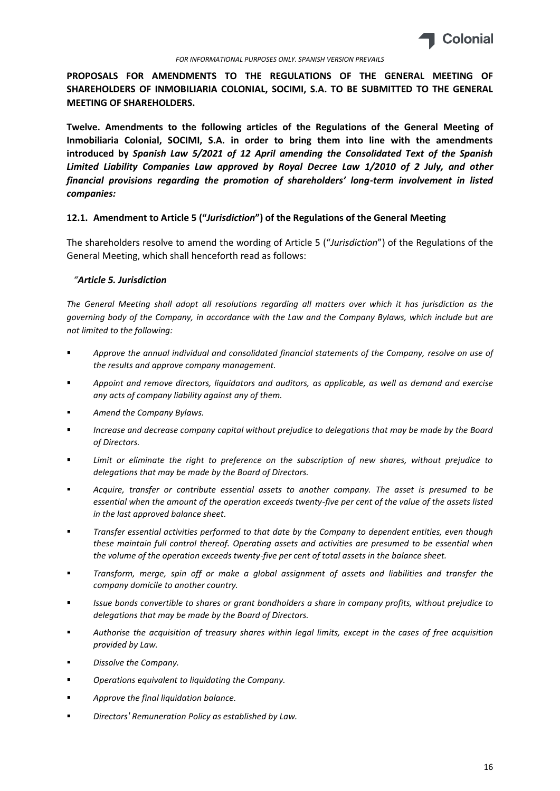

**PROPOSALS FOR AMENDMENTS TO THE REGULATIONS OF THE GENERAL MEETING OF SHAREHOLDERS OF INMOBILIARIA COLONIAL, SOCIMI, S.A. TO BE SUBMITTED TO THE GENERAL MEETING OF SHAREHOLDERS.**

**Twelve. Amendments to the following articles of the Regulations of the General Meeting of Inmobiliaria Colonial, SOCIMI, S.A. in order to bring them into line with the amendments introduced by** *Spanish Law 5/2021 of 12 April amending the Consolidated Text of the Spanish Limited Liability Companies Law approved by Royal Decree Law 1/2010 of 2 July, and other financial provisions regarding the promotion of shareholders' long-term involvement in listed companies:*

### **12.1. Amendment to Article 5 ("***Jurisdiction***") of the Regulations of the General Meeting**

The shareholders resolve to amend the wording of Article 5 ("*Jurisdiction*") of the Regulations of the General Meeting, which shall henceforth read as follows:

### *"Article 5. Jurisdiction*

*The General Meeting shall adopt all resolutions regarding all matters over which it has jurisdiction as the governing body of the Company, in accordance with the Law and the Company Bylaws, which include but are not limited to the following:*

- *Approve the annual individual and consolidated financial statements of the Company, resolve on use of the results and approve company management.*
- *Appoint and remove directors, liquidators and auditors, as applicable, as well as demand and exercise any acts of company liability against any of them.*
- *Amend the Company Bylaws.*
- *Increase and decrease company capital without prejudice to delegations that may be made by the Board of Directors.*
- *Limit or eliminate the right to preference on the subscription of new shares, without prejudice to delegations that may be made by the Board of Directors.*
- *Acquire, transfer or contribute essential assets to another company. The asset is presumed to be essential when the amount of the operation exceeds twenty-five per cent of the value of the assets listed in the last approved balance sheet.*
- *Transfer essential activities performed to that date by the Company to dependent entities, even though these maintain full control thereof. Operating assets and activities are presumed to be essential when the volume of the operation exceeds twenty-five per cent of total assets in the balance sheet.*
- *Transform, merge, spin off or make a global assignment of assets and liabilities and transfer the company domicile to another country.*
- *Issue bonds convertible to shares or grant bondholders a share in company profits, without prejudice to delegations that may be made by the Board of Directors.*
- *Authorise the acquisition of treasury shares within legal limits, except in the cases of free acquisition provided by Law.*
- *Dissolve the Company.*
- *Operations equivalent to liquidating the Company.*
- *Approve the final liquidation balance.*
- *Directors' Remuneration Policy as established by Law.*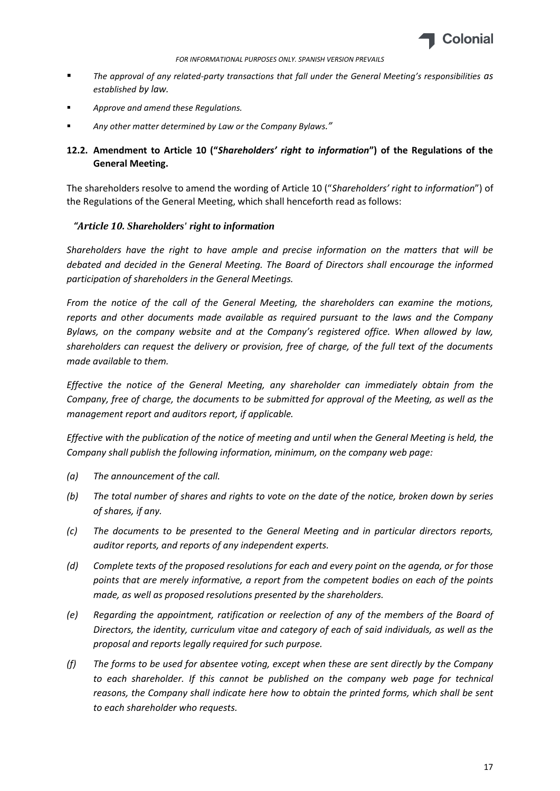

- *The approval of any related-party transactions that fall under the General Meeting's responsibilities as established by law.*
- *Approve and amend these Regulations.*
- *Any other matter determined by Law or the Company Bylaws."*

# **12.2. Amendment to Article 10 ("***Shareholders' right to information***") of the Regulations of the General Meeting.**

The shareholders resolve to amend the wording of Article 10 ("*Shareholders' right to information*") of the Regulations of the General Meeting, which shall henceforth read as follows:

## *"Article 10. Shareholders' right to information*

*Shareholders have the right to have ample and precise information on the matters that will be debated and decided in the General Meeting. The Board of Directors shall encourage the informed participation of shareholders in the General Meetings.*

*From the notice of the call of the General Meeting, the shareholders can examine the motions, reports and other documents made available as required pursuant to the laws and the Company Bylaws, on the company website and at the Company's registered office. When allowed by law, shareholders can request the delivery or provision, free of charge, of the full text of the documents made available to them.*

*Effective the notice of the General Meeting, any shareholder can immediately obtain from the Company, free of charge, the documents to be submitted for approval of the Meeting, as well as the management report and auditors report, if applicable.*

*Effective with the publication of the notice of meeting and until when the General Meeting is held, the Company shall publish the following information, minimum, on the company web page:*

- *(a) The announcement of the call.*
- *(b) The total number of shares and rights to vote on the date of the notice, broken down by series of shares, if any.*
- *(c) The documents to be presented to the General Meeting and in particular directors reports, auditor reports, and reports of any independent experts.*
- *(d) Complete texts of the proposed resolutions for each and every point on the agenda, or for those points that are merely informative, a report from the competent bodies on each of the points made, as well as proposed resolutions presented by the shareholders.*
- *(e) Regarding the appointment, ratification or reelection of any of the members of the Board of Directors, the identity, curriculum vitae and category of each of said individuals, as well as the proposal and reports legally required for such purpose.*
- *(f) The forms to be used for absentee voting, except when these are sent directly by the Company to each shareholder. If this cannot be published on the company web page for technical reasons, the Company shall indicate here how to obtain the printed forms, which shall be sent to each shareholder who requests.*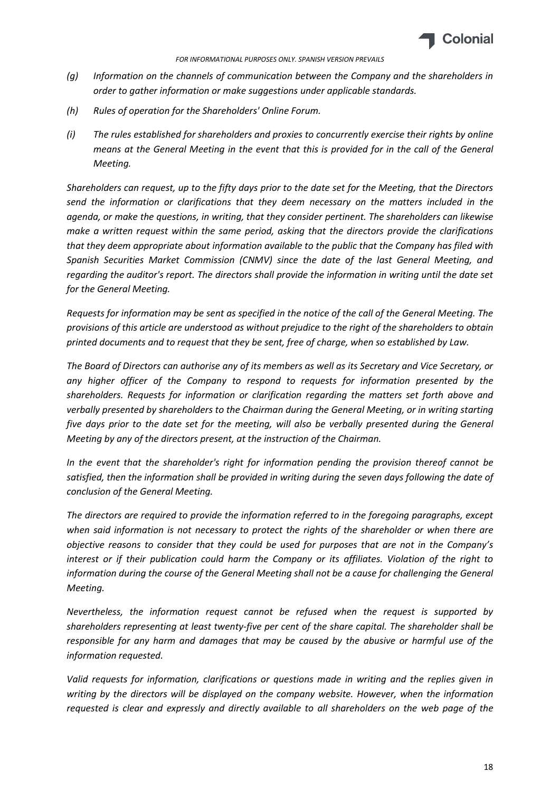

- *(g) Information on the channels of communication between the Company and the shareholders in order to gather information or make suggestions under applicable standards.*
- *(h) Rules of operation for the Shareholders' Online Forum.*
- *(i) The rules established for shareholders and proxies to concurrently exercise their rights by online means at the General Meeting in the event that this is provided for in the call of the General Meeting.*

*Shareholders can request, up to the fifty days prior to the date set for the Meeting, that the Directors send the information or clarifications that they deem necessary on the matters included in the agenda, or make the questions, in writing, that they consider pertinent. The shareholders can likewise make a written request within the same period, asking that the directors provide the clarifications that they deem appropriate about information available to the public that the Company has filed with Spanish Securities Market Commission (CNMV) since the date of the last General Meeting, and regarding the auditor's report. The directors shall provide the information in writing until the date set for the General Meeting.*

*Requests for information may be sent as specified in the notice of the call of the General Meeting. The provisions of this article are understood as without prejudice to the right of the shareholders to obtain printed documents and to request that they be sent, free of charge, when so established by Law.*

*The Board of Directors can authorise any of its members as well as its Secretary and Vice Secretary, or any higher officer of the Company to respond to requests for information presented by the shareholders. Requests for information or clarification regarding the matters set forth above and verbally presented by shareholders to the Chairman during the General Meeting, or in writing starting five days prior to the date set for the meeting, will also be verbally presented during the General Meeting by any of the directors present, at the instruction of the Chairman.*

*In the event that the shareholder's right for information pending the provision thereof cannot be satisfied, then the information shall be provided in writing during the seven days following the date of conclusion of the General Meeting.* 

*The directors are required to provide the information referred to in the foregoing paragraphs, except when said information is not necessary to protect the rights of the shareholder or when there are objective reasons to consider that they could be used for purposes that are not in the Company's interest or if their publication could harm the Company or its affiliates. Violation of the right to information during the course of the General Meeting shall not be a cause for challenging the General Meeting.*

*Nevertheless, the information request cannot be refused when the request is supported by shareholders representing at least twenty-five per cent of the share capital. The shareholder shall be responsible for any harm and damages that may be caused by the abusive or harmful use of the information requested.*

*Valid requests for information, clarifications or questions made in writing and the replies given in writing by the directors will be displayed on the company website. However, when the information requested is clear and expressly and directly available to all shareholders on the web page of the*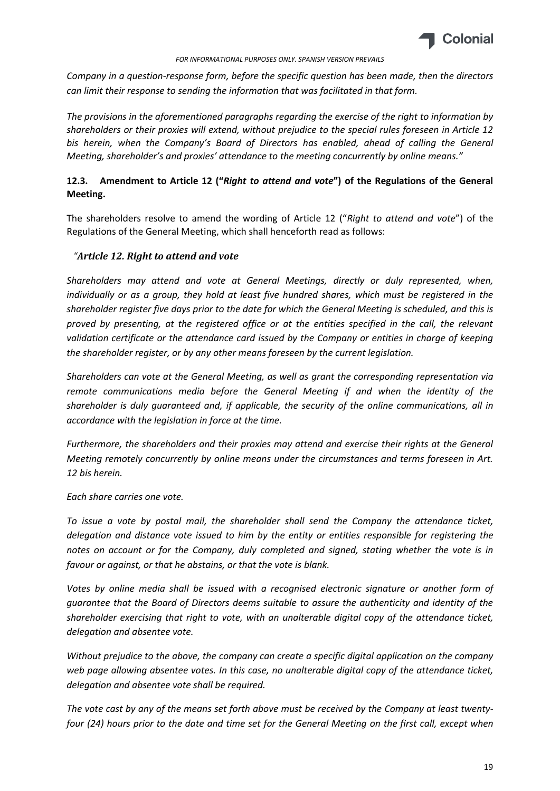

*Company in a question-response form, before the specific question has been made, then the directors can limit their response to sending the information that was facilitated in that form.*

*The provisions in the aforementioned paragraphs regarding the exercise of the right to information by shareholders or their proxies will extend, without prejudice to the special rules foreseen in Article 12 bis herein, when the Company's Board of Directors has enabled, ahead of calling the General Meeting, shareholder's and proxies' attendance to the meeting concurrently by online means."*

# **12.3. Amendment to Article 12 ("***Right to attend and vote***") of the Regulations of the General Meeting.**

The shareholders resolve to amend the wording of Article 12 ("*Right to attend and vote*") of the Regulations of the General Meeting, which shall henceforth read as follows:

## *"Article 12. Right to attend and vote*

*Shareholders may attend and vote at General Meetings, directly or duly represented, when, individually or as a group, they hold at least five hundred shares, which must be registered in the shareholder register five days prior to the date for which the General Meeting is scheduled, and this is proved by presenting, at the registered office or at the entities specified in the call, the relevant validation certificate or the attendance card issued by the Company or entities in charge of keeping the shareholder register, or by any other means foreseen by the current legislation.*

*Shareholders can vote at the General Meeting, as well as grant the corresponding representation via remote communications media before the General Meeting if and when the identity of the shareholder is duly guaranteed and, if applicable, the security of the online communications, all in accordance with the legislation in force at the time.*

*Furthermore, the shareholders and their proxies may attend and exercise their rights at the General Meeting remotely concurrently by online means under the circumstances and terms foreseen in Art. 12 bis herein.*

*Each share carries one vote.*

*To issue a vote by postal mail, the shareholder shall send the Company the attendance ticket, delegation and distance vote issued to him by the entity or entities responsible for registering the notes on account or for the Company, duly completed and signed, stating whether the vote is in favour or against, or that he abstains, or that the vote is blank.*

*Votes by online media shall be issued with a recognised electronic signature or another form of guarantee that the Board of Directors deems suitable to assure the authenticity and identity of the shareholder exercising that right to vote, with an unalterable digital copy of the attendance ticket, delegation and absentee vote.*

*Without prejudice to the above, the company can create a specific digital application on the company web page allowing absentee votes. In this case, no unalterable digital copy of the attendance ticket, delegation and absentee vote shall be required.*

*The vote cast by any of the means set forth above must be received by the Company at least twentyfour (24) hours prior to the date and time set for the General Meeting on the first call, except when*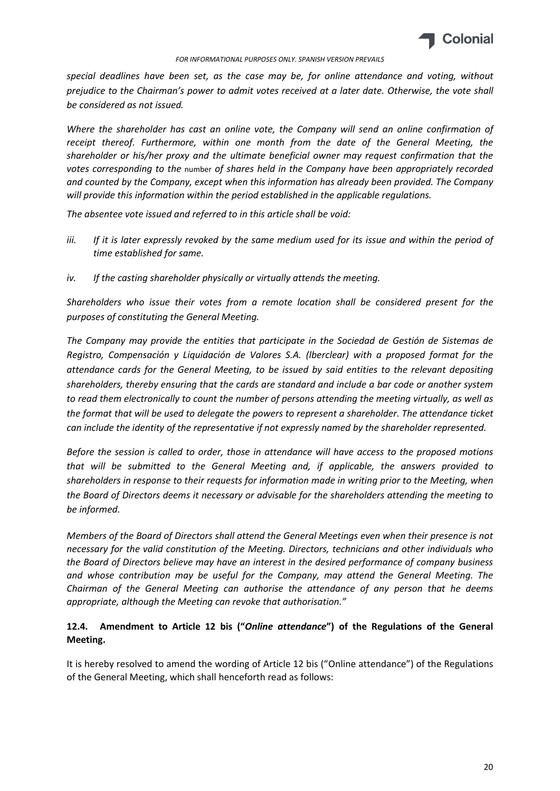

*special deadlines have been set, as the case may be, for online attendance and voting, without prejudice to the Chairman's power to admit votes received at a later date. Otherwise, the vote shall be considered as not issued.*

*Where the shareholder has cast an online vote, the Company will send an online confirmation of receipt thereof. Furthermore, within one month from the date of the General Meeting, the shareholder or his/her proxy and the ultimate beneficial owner may request confirmation that the votes corresponding to the* number *of shares held in the Company have been appropriately recorded and counted by the Company, except when this information has already been provided. The Company will provide this information within the period established in the applicable regulations.*

*The absentee vote issued and referred to in this article shall be void:*

- *iii. If it is later expressly revoked by the same medium used for its issue and within the period of time established for same.*
- *iv. If the casting shareholder physically or virtually attends the meeting.*

*Shareholders who issue their votes from a remote location shall be considered present for the purposes of constituting the General Meeting.*

*The Company may provide the entities that participate in the Sociedad de Gestión de Sistemas de Registro, Compensación y Liquidación de Valores S.A. (lberclear) with a proposed format for the attendance cards for the General Meeting, to be issued by said entities to the relevant depositing shareholders, thereby ensuring that the cards are standard and include a bar code or another system to read them electronically to count the number of persons attending the meeting virtually, as well as the format that will be used to delegate the powers to represent a shareholder. The attendance ticket can include the identity of the representative if not expressly named by the shareholder represented.*

*Before the session is called to order, those in attendance will have access to the proposed motions that will be submitted to the General Meeting and, if applicable, the answers provided to shareholders in response to their requests for information made in writing prior to the Meeting, when the Board of Directors deems it necessary or advisable for the shareholders attending the meeting to be informed.*

*Members of the Board of Directors shall attend the General Meetings even when their presence is not necessary for the valid constitution of the Meeting. Directors, technicians and other individuals who the Board of Directors believe may have an interest in the desired performance of company business and whose contribution may be useful for the Company, may attend the General Meeting. The Chairman of the General Meeting can authorise the attendance of any person that he deems appropriate, although the Meeting can revoke that authorisation."*

# **12.4. Amendment to Article 12 bis ("***Online attendance***") of the Regulations of the General Meeting.**

It is hereby resolved to amend the wording of Article 12 bis ("Online attendance") of the Regulations of the General Meeting, which shall henceforth read as follows: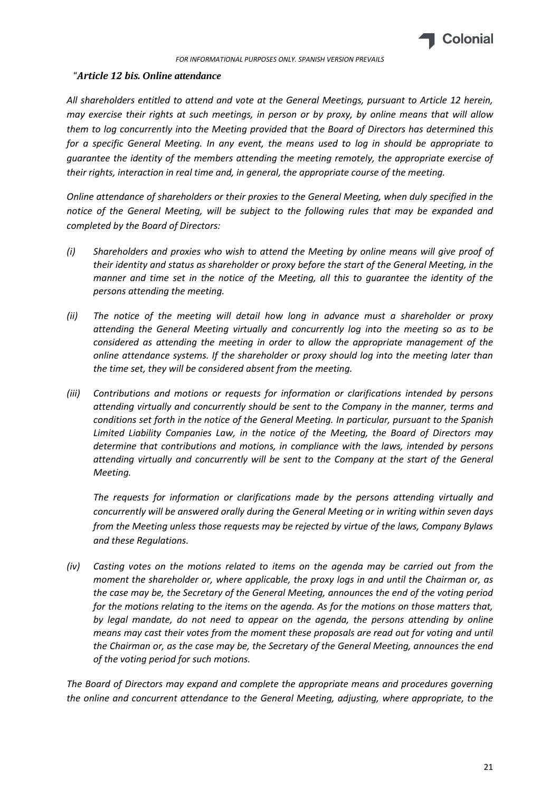

### "*Article 12 bis. Online attendance*

*All shareholders entitled to attend and vote at the General Meetings, pursuant to Article 12 herein, may exercise their rights at such meetings, in person or by proxy, by online means that will allow them to log concurrently into the Meeting provided that the Board of Directors has determined this for a specific General Meeting. In any event, the means used to log in should be appropriate to guarantee the identity of the members attending the meeting remotely, the appropriate exercise of their rights, interaction in real time and, in general, the appropriate course of the meeting.* 

*Online attendance of shareholders or their proxies to the General Meeting, when duly specified in the notice of the General Meeting, will be subject to the following rules that may be expanded and completed by the Board of Directors:*

- *(i) Shareholders and proxies who wish to attend the Meeting by online means will give proof of their identity and status as shareholder or proxy before the start of the General Meeting, in the manner and time set in the notice of the Meeting, all this to guarantee the identity of the persons attending the meeting.*
- *(ii) The notice of the meeting will detail how long in advance must a shareholder or proxy attending the General Meeting virtually and concurrently log into the meeting so as to be considered as attending the meeting in order to allow the appropriate management of the online attendance systems. If the shareholder or proxy should log into the meeting later than the time set, they will be considered absent from the meeting.*
- *(iii) Contributions and motions or requests for information or clarifications intended by persons attending virtually and concurrently should be sent to the Company in the manner, terms and conditions set forth in the notice of the General Meeting. In particular, pursuant to the Spanish Limited Liability Companies Law, in the notice of the Meeting, the Board of Directors may determine that contributions and motions, in compliance with the laws, intended by persons attending virtually and concurrently will be sent to the Company at the start of the General Meeting.*

*The requests for information or clarifications made by the persons attending virtually and concurrently will be answered orally during the General Meeting or in writing within seven days from the Meeting unless those requests may be rejected by virtue of the laws, Company Bylaws and these Regulations.*

*(iv) Casting votes on the motions related to items on the agenda may be carried out from the moment the shareholder or, where applicable, the proxy logs in and until the Chairman or, as the case may be, the Secretary of the General Meeting, announces the end of the voting period for the motions relating to the items on the agenda. As for the motions on those matters that, by legal mandate, do not need to appear on the agenda, the persons attending by online means may cast their votes from the moment these proposals are read out for voting and until the Chairman or, as the case may be, the Secretary of the General Meeting, announces the end of the voting period for such motions.* 

*The Board of Directors may expand and complete the appropriate means and procedures governing the online and concurrent attendance to the General Meeting, adjusting, where appropriate, to the*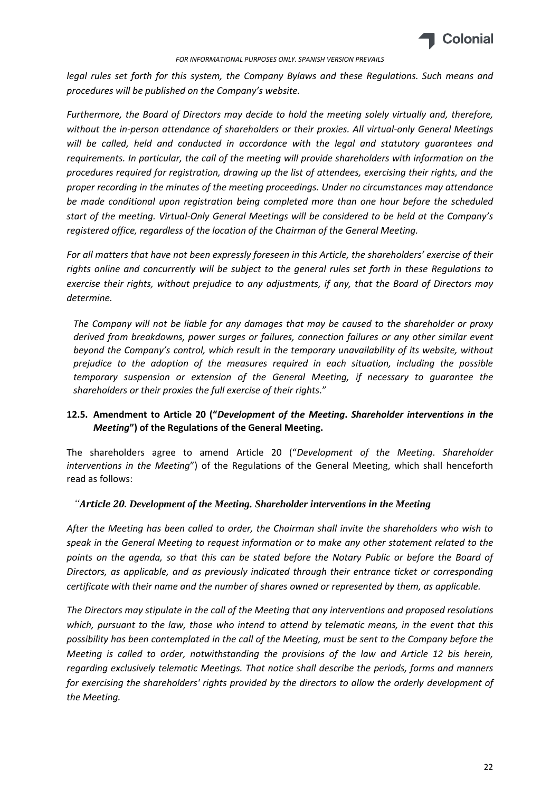

*legal rules set forth for this system, the Company Bylaws and these Regulations. Such means and procedures will be published on the Company's website.*

*Furthermore, the Board of Directors may decide to hold the meeting solely virtually and, therefore, without the in-person attendance of shareholders or their proxies. All virtual-only General Meetings will be called, held and conducted in accordance with the legal and statutory guarantees and requirements. In particular, the call of the meeting will provide shareholders with information on the procedures required for registration, drawing up the list of attendees, exercising their rights, and the proper recording in the minutes of the meeting proceedings. Under no circumstances may attendance be made conditional upon registration being completed more than one hour before the scheduled start of the meeting. Virtual-Only General Meetings will be considered to be held at the Company's registered office, regardless of the location of the Chairman of the General Meeting.* 

*For all matters that have not been expressly foreseen in this Article, the shareholders' exercise of their rights online and concurrently will be subject to the general rules set forth in these Regulations to exercise their rights, without prejudice to any adjustments, if any, that the Board of Directors may determine.*

*The Company will not be liable for any damages that may be caused to the shareholder or proxy derived from breakdowns, power surges or failures, connection failures or any other similar event beyond the Company's control, which result in the temporary unavailability of its website, without prejudice to the adoption of the measures required in each situation, including the possible temporary suspension or extension of the General Meeting, if necessary to guarantee the shareholders or their proxies the full exercise of their rights.*"

# **12.5. Amendment to Article 20 ("***Development of the Meeting***.** *Shareholder interventions in the Meeting***") of the Regulations of the General Meeting.**

The shareholders agree to amend Article 20 ("*Development of the Meeting*. *Shareholder interventions in the Meeting*") of the Regulations of the General Meeting, which shall henceforth read as follows:

## *"Article 20. Development of the Meeting. Shareholder interventions in the Meeting*

*After the Meeting has been called to order, the Chairman shall invite the shareholders who wish to speak in the General Meeting to request information or to make any other statement related to the points on the agenda, so that this can be stated before the Notary Public or before the Board of Directors, as applicable, and as previously indicated through their entrance ticket or corresponding certificate with their name and the number of shares owned or represented by them, as applicable.*

*The Directors may stipulate in the call of the Meeting that any interventions and proposed resolutions which, pursuant to the law, those who intend to attend by telematic means, in the event that this possibility has been contemplated in the call of the Meeting, must be sent to the Company before the Meeting is called to order, notwithstanding the provisions of the law and Article 12 bis herein, regarding exclusively telematic Meetings. That notice shall describe the periods, forms and manners for exercising the shareholders' rights provided by the directors to allow the orderly development of the Meeting.*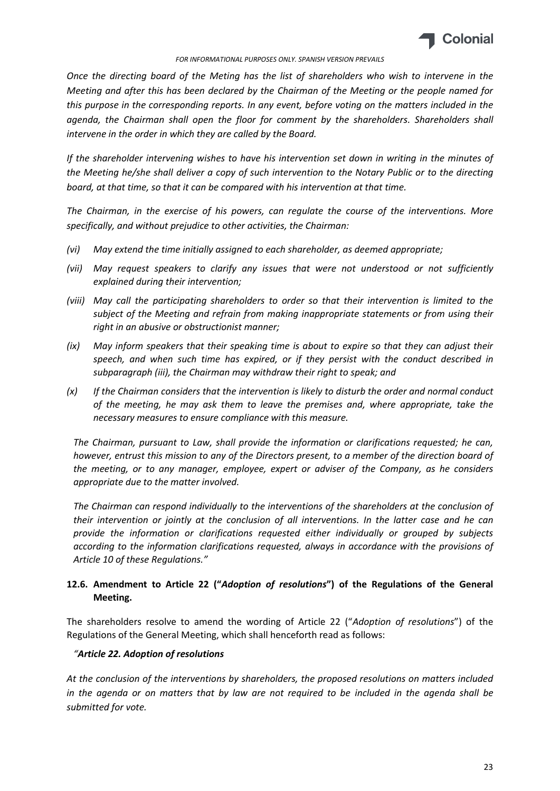

*Once the directing board of the Meting has the list of shareholders who wish to intervene in the Meeting and after this has been declared by the Chairman of the Meeting or the people named for this purpose in the corresponding reports. In any event, before voting on the matters included in the agenda, the Chairman shall open the floor for comment by the shareholders. Shareholders shall intervene in the order in which they are called by the Board.*

*If the shareholder intervening wishes to have his intervention set down in writing in the minutes of the Meeting he/she shall deliver a copy of such intervention to the Notary Public or to the directing board, at that time, so that it can be compared with his intervention at that time.*

*The Chairman, in the exercise of his powers, can regulate the course of the interventions. More specifically, and without prejudice to other activities, the Chairman:*

- *(vi) May extend the time initially assigned to each shareholder, as deemed appropriate;*
- *(vii) May request speakers to clarify any issues that were not understood or not sufficiently explained during their intervention;*
- *(viii) May call the participating shareholders to order so that their intervention is limited to the subject of the Meeting and refrain from making inappropriate statements or from using their right in an abusive or obstructionist manner;*
- *(ix) May inform speakers that their speaking time is about to expire so that they can adjust their speech, and when such time has expired, or if they persist with the conduct described in subparagraph (iii), the Chairman may withdraw their right to speak; and*
- *(x) If the Chairman considers that the intervention is likely to disturb the order and normal conduct of the meeting, he may ask them to leave the premises and, where appropriate, take the necessary measures to ensure compliance with this measure.*

*The Chairman, pursuant to Law, shall provide the information or clarifications requested; he can, however, entrust this mission to any of the Directors present, to a member of the direction board of the meeting, or to any manager, employee, expert or adviser of the Company, as he considers appropriate due to the matter involved.*

*The Chairman can respond individually to the interventions of the shareholders at the conclusion of their intervention or jointly at the conclusion of all interventions. In the latter case and he can provide the information or clarifications requested either individually or grouped by subjects according to the information clarifications requested, always in accordance with the provisions of Article 10 of these Regulations."*

# **12.6. Amendment to Article 22 ("***Adoption of resolutions***") of the Regulations of the General Meeting.**

The shareholders resolve to amend the wording of Article 22 ("*Adoption of resolutions*") of the Regulations of the General Meeting, which shall henceforth read as follows:

## *"Article 22. Adoption of resolutions*

*At the conclusion of the interventions by shareholders, the proposed resolutions on matters included in the agenda or on matters that by law are not required to be included in the agenda shall be submitted for vote.*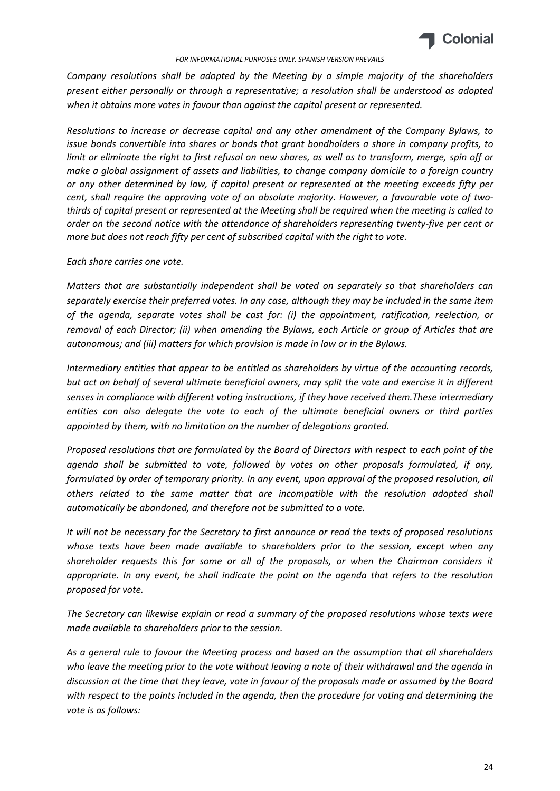

*Company resolutions shall be adopted by the Meeting by a simple majority of the shareholders present either personally or through a representative; a resolution shall be understood as adopted when it obtains more votes in favour than against the capital present or represented.*

*Resolutions to increase or decrease capital and any other amendment of the Company Bylaws, to issue bonds convertible into shares or bonds that grant bondholders a share in company profits, to limit or eliminate the right to first refusal on new shares, as well as to transform, merge, spin off or make a global assignment of assets and liabilities, to change company domicile to a foreign country or any other determined by law, if capital present or represented at the meeting exceeds fifty per cent, shall require the approving vote of an absolute majority. However, a favourable vote of twothirds of capital present or represented at the Meeting shall be required when the meeting is called to order on the second notice with the attendance of shareholders representing twenty-five per cent or more but does not reach fifty per cent of subscribed capital with the right to vote.*

### *Each share carries one vote.*

*Matters that are substantially independent shall be voted on separately so that shareholders can separately exercise their preferred votes. In any case, although they may be included in the same item of the agenda, separate votes shall be cast for: (i) the appointment, ratification, reelection, or removal of each Director; (ii) when amending the Bylaws, each Article or group of Articles that are autonomous; and (iii) matters for which provision is made in law or in the Bylaws.*

*Intermediary entities that appear to be entitled as shareholders by virtue of the accounting records, but act on behalf of several ultimate beneficial owners, may split the vote and exercise it in different senses in compliance with different voting instructions, if they have received them.These intermediary entities can also delegate the vote to each of the ultimate beneficial owners or third parties appointed by them, with no limitation on the number of delegations granted.*

*Proposed resolutions that are formulated by the Board of Directors with respect to each point of the agenda shall be submitted to vote, followed by votes on other proposals formulated, if any, formulated by order of temporary priority. In any event, upon approval of the proposed resolution, all others related to the same matter that are incompatible with the resolution adopted shall automatically be abandoned, and therefore not be submitted to a vote.*

*It will not be necessary for the Secretary to first announce or read the texts of proposed resolutions whose texts have been made available to shareholders prior to the session, except when any shareholder requests this for some or all of the proposals, or when the Chairman considers it appropriate. In any event, he shall indicate the point on the agenda that refers to the resolution proposed for vote.*

*The Secretary can likewise explain or read a summary of the proposed resolutions whose texts were made available to shareholders prior to the session.*

*As a general rule to favour the Meeting process and based on the assumption that all shareholders who leave the meeting prior to the vote without leaving a note of their withdrawal and the agenda in discussion at the time that they leave, vote in favour of the proposals made or assumed by the Board with respect to the points included in the agenda, then the procedure for voting and determining the vote is as follows:*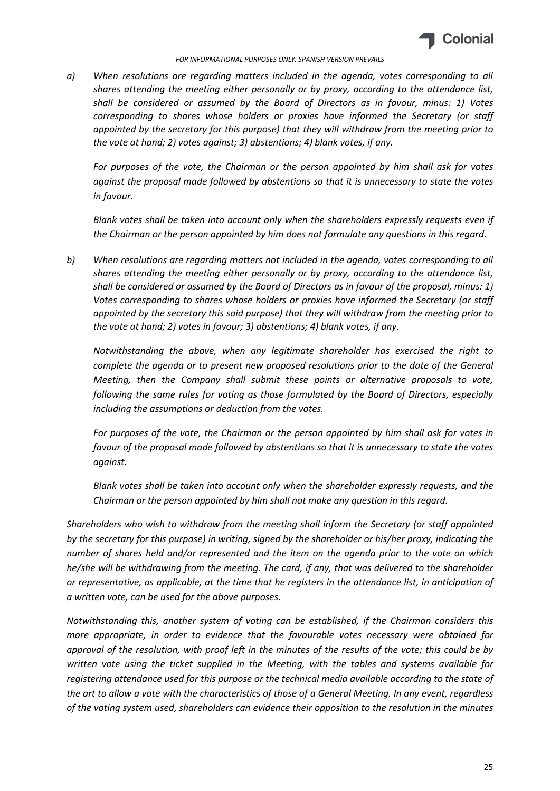

*a) When resolutions are regarding matters included in the agenda, votes corresponding to all shares attending the meeting either personally or by proxy, according to the attendance list, shall be considered or assumed by the Board of Directors as in favour, minus: 1) Votes corresponding to shares whose holders or proxies have informed the Secretary (or staff appointed by the secretary for this purpose) that they will withdraw from the meeting prior to the vote at hand; 2) votes against; 3) abstentions; 4) blank votes, if any.*

*For purposes of the vote, the Chairman or the person appointed by him shall ask for votes against the proposal made followed by abstentions so that it is unnecessary to state the votes in favour.*

*Blank votes shall be taken into account only when the shareholders expressly requests even if the Chairman or the person appointed by him does not formulate any questions in this regard.*

*b) When resolutions are regarding matters not included in the agenda, votes corresponding to all shares attending the meeting either personally or by proxy, according to the attendance list, shall be considered or assumed by the Board of Directors as in favour of the proposal, minus: 1) Votes corresponding to shares whose holders or proxies have informed the Secretary (or staff appointed by the secretary this said purpose) that they will withdraw from the meeting prior to the vote at hand; 2) votes in favour; 3) abstentions; 4) blank votes, if any.*

*Notwithstanding the above, when any legitimate shareholder has exercised the right to complete the agenda or to present new proposed resolutions prior to the date of the General Meeting, then the Company shall submit these points or alternative proposals to vote, following the same rules for voting as those formulated by the Board of Directors, especially including the assumptions or deduction from the votes.*

*For purposes of the vote, the Chairman or the person appointed by him shall ask for votes in favour of the proposal made followed by abstentions so that it is unnecessary to state the votes against.*

*Blank votes shall be taken into account only when the shareholder expressly requests, and the Chairman or the person appointed by him shall not make any question in this regard.* 

*Shareholders who wish to withdraw from the meeting shall inform the Secretary (or staff appointed by the secretary for this purpose) in writing, signed by the shareholder or his/her proxy, indicating the number of shares held and/or represented and the item on the agenda prior to the vote on which he/she will be withdrawing from the meeting. The card, if any, that was delivered to the shareholder or representative, as applicable, at the time that he registers in the attendance list, in anticipation of a written vote, can be used for the above purposes.*

*Notwithstanding this, another system of voting can be established, if the Chairman considers this more appropriate, in order to evidence that the favourable votes necessary were obtained for approval of the resolution, with proof left in the minutes of the results of the vote; this could be by written vote using the ticket supplied in the Meeting, with the tables and systems available for registering attendance used for this purpose or the technical media available according to the state of the art to allow a vote with the characteristics of those of a General Meeting. In any event, regardless of the voting system used, shareholders can evidence their opposition to the resolution in the minutes*